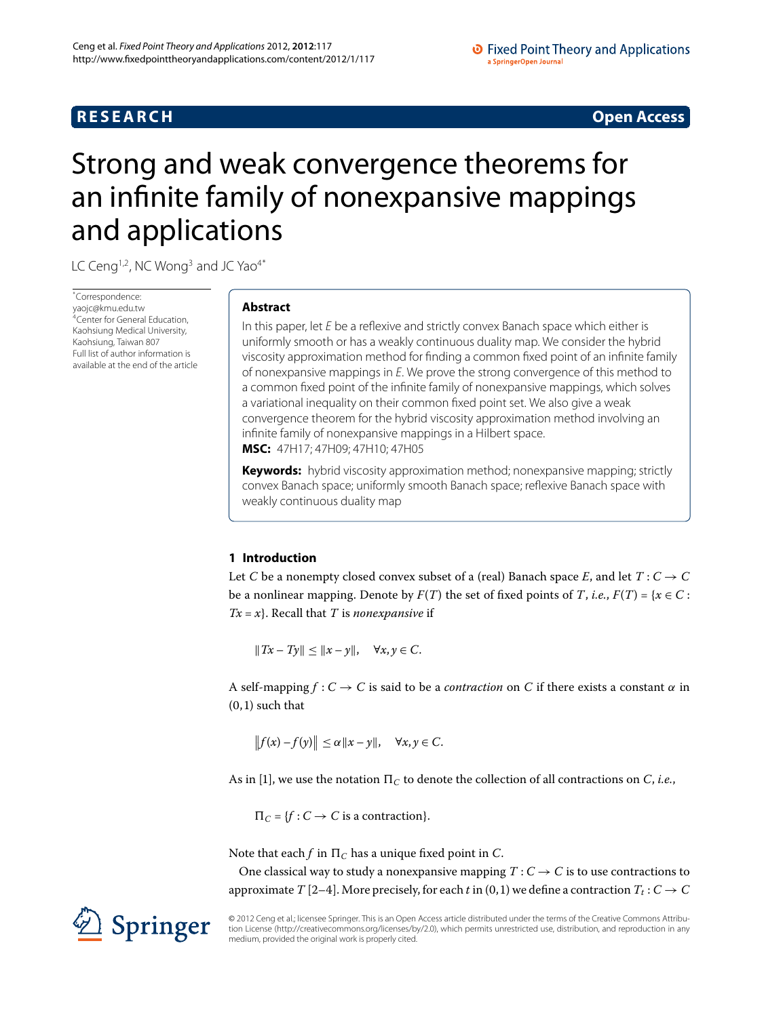## **RESEARCH RESEARCH** *RESEARCH*

# <span id="page-0-0"></span>Strong and weak convergence theorems for an infinite family of nonexpansive mappings and applications

LC Ceng<sup>1,[2](#page-19-1)</sup>, NC Wong<sup>3</sup> and JC Yao<sup>[4](#page-19-3)[\\*](#page-0-0)</sup>

\* Correspondence: [yaojc@kmu.edu.tw](mailto:yaojc@kmu.edu.tw) <sup>1</sup>Center for General Education, Kaohsiung Medical University, Kaohsiung, Taiwan 807 Full list of author information is available at the end of the article

## **Abstract**

In this paper, let E be a reflexive and strictly convex Banach space which either is uniformly smooth or has a weakly continuous duality map. We consider the hybrid viscosity approximation method for finding a common fixed point of an infinite family of nonexpansive mappings in E. We prove the strong convergence of this method to a common fixed point of the infinite family of nonexpansive mappings, which solves a variational inequality on their common fixed point set. We also give a weak convergence theorem for the hybrid viscosity approximation method involving an infinite family of nonexpansive mappings in a Hilbert space. **MSC:** 47H17; 47H09; 47H10; 47H05

**Keywords:** hybrid viscosity approximation method; nonexpansive mapping; strictly convex Banach space; uniformly smooth Banach space; reflexive Banach space with weakly continuous duality map

## **1 Introduction**

Let *C* be a nonempty closed convex subset of a (real) Banach space *E*, and let  $T: C \rightarrow C$ be a nonlinear mapping. Denote by  $F(T)$  the set of fixed points of *T*, *i.e.*,  $F(T) = \{x \in C :$ *Tx* = *x*}. Recall that *T* is *nonexpansive* if

 $||Tx - Ty|| \le ||x - y||, \quad \forall x, y \in C.$ 

A self-mapping  $f: C \to C$  is said to be a *contraction* on C if there exists a constant  $\alpha$  in  $(0, 1)$  such that

$$
||f(x)-f(y)|| \leq \alpha ||x-y||, \quad \forall x, y \in C.
$$

As in [\[](#page-19-4)1], we use the notation  $\Pi_C$  to denote the collection of all contractions on *C*, *i.e.*,

 $\Pi_C = \{f : C \to C \text{ is a contraction}\}.$ 

Note that each *f* in  $\Pi_C$  has a unique fixed point in *C*.

One classical way to study a nonexpansive mapping  $T: C \rightarrow C$  is to use contractions to approximate *T* [\[](#page-19-5)2[–](#page-19-6)4]. More precisely, for each *t* in (0, 1) we define a contraction  $T_t$  :  $C \rightarrow C$ 

© 2012 Ceng et al.; licensee Springer. This is an Open Access article distributed under the terms of the Creative Commons Attribution License ([http://creativecommons.org/licenses/by/2.0\)](http://creativecommons.org/licenses/by/2.0), which permits unrestricted use, distribution, and reproduction in any medium, provided the original work is properly cited.

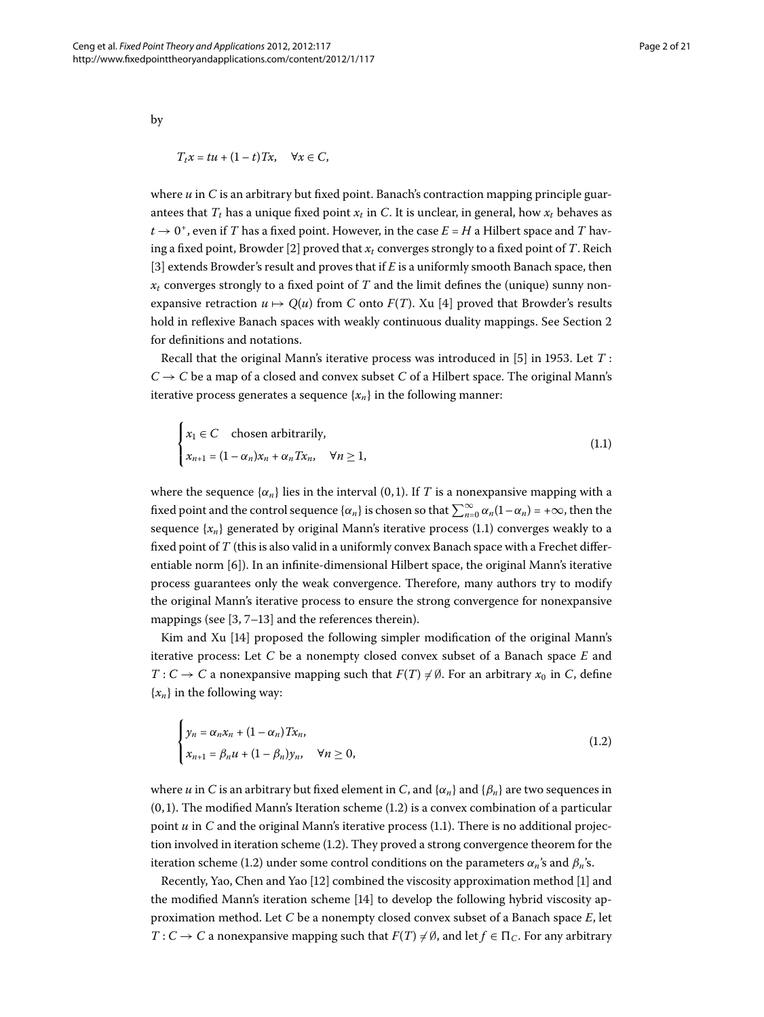by

$$
T_t x = tu + (1 - t)Tx, \quad \forall x \in C,
$$

where  $u$  in  $C$  is an arbitrary but fixed point. Banach's contraction mapping principle guarantees that  $T_t$  has a unique fixed point  $x_t$  in C. It is unclear, in general, how  $x_t$  behaves as  $t \to 0^+$ , even if *T* has a fixed point. However, in the case  $E = H$  a Hilbert space and *T* hav-ing a fixed point, Browder [\[](#page-19-5)2] proved that  $x_t$  converges strongly to a fixed point of *T*. Reich [3[\]](#page-19-7) extends Browder's result and proves that if *E* is a uniformly smooth Banach space, then  $x_t$  converges strongly to a fixed point of *T* and the limit defines the (unique) sunny nonexpansive retraction  $u \mapsto Q(u)$  from *C* onto  $F(T)$ . Xu [4] proved that Browder's results hold in reflexive Banach spaces with weakly continuous duality mappings. See Section 2 for definitions and notations.

Recall that the original Mann's iterative process was introduced in  $[5]$  $[5]$  in 1953. Let  $T$ :  $C \rightarrow C$  be a map of a closed and convex subset *C* of a Hilbert space. The original Mann's iterative process generates a sequence  $\{x_n\}$  in the following manner:

<span id="page-1-0"></span>
$$
\begin{cases} x_1 \in C & \text{chosen arbitrarily,} \\ x_{n+1} = (1 - \alpha_n)x_n + \alpha_n Tx_n, \quad \forall n \ge 1, \end{cases}
$$
 (1.1)

where the sequence  $\{\alpha_n\}$  lies in the interval (0,1). If *T* is a nonexpansive mapping with a fixed point and the control sequence  $\{\alpha_n\}$  is chosen so that  $\sum_{n=0}^{\infty} \alpha_n (1 - \alpha_n) = +\infty$ , then the sequence  $\{x_n\}$  generated by original Mann's iterative process (1.1) converges weakly to a fixed point of *T* (this is also valid in a uniformly convex Banach space with a Frechet differentiable norm  $[6]$ ). In an infinite-dimensional Hilbert space, the original Mann's iterative process guarantees only the weak convergence. Therefore, many authors try to modify the original Mann's iterative process to ensure the strong convergence for nonexpansive mappings (see  $[3, 7-13]$  $[3, 7-13]$  and the references therein).

Kim and Xu [14[\]](#page-19-12) proposed the following simpler modification of the original Mann's iterative process: Let *C* be a nonempty closed convex subset of a Banach space *E* and *T* : *C*  $\rightarrow$  *C* a nonexpansive mapping such that  $F(T) \neq \emptyset$ . For an arbitrary  $x_0$  in *C*, define  ${x_n}$  in the following way:

<span id="page-1-1"></span>
$$
\begin{cases}\n y_n = \alpha_n x_n + (1 - \alpha_n) T x_n, \\
 x_{n+1} = \beta_n u + (1 - \beta_n) y_n, \quad \forall n \ge 0,\n\end{cases}
$$
\n(1.2)

where *u* in *C* is an arbitrary but fixed element in *C*, and { $\alpha_n$ } and { $\beta_n$ } are two sequences in  $(0, 1)$ [.](#page-1-1) The modified Mann's Iteration scheme  $(1.2)$  is a convex combination of a particular point  $u$  in  $C$  and the original Mann's iterative process  $(1.1)$  $(1.1)$  $(1.1)$ . There is no additional projection involved in iteration scheme  $(1.2)$  $(1.2)$  $(1.2)$ . They proved a strong convergence theorem for the iteration scheme (1[.](#page-1-1)2) under some control conditions on the parameters  $\alpha_n$ 's and  $\beta_n$ 's.

Recently, Yao, Chen and Yao [12[\]](#page-19-4) combined the viscosity approximation method [1] and the modified Mann's iteration scheme [\[](#page-19-12)] to develop the following hybrid viscosity approximation method. Let *C* be a nonempty closed convex subset of a Banach space *E*, let *T* : *C*  $\rightarrow$  *C* a nonexpansive mapping such that  $F(T) \neq \emptyset$ , and let  $f \in \Pi_C$ . For any arbitrary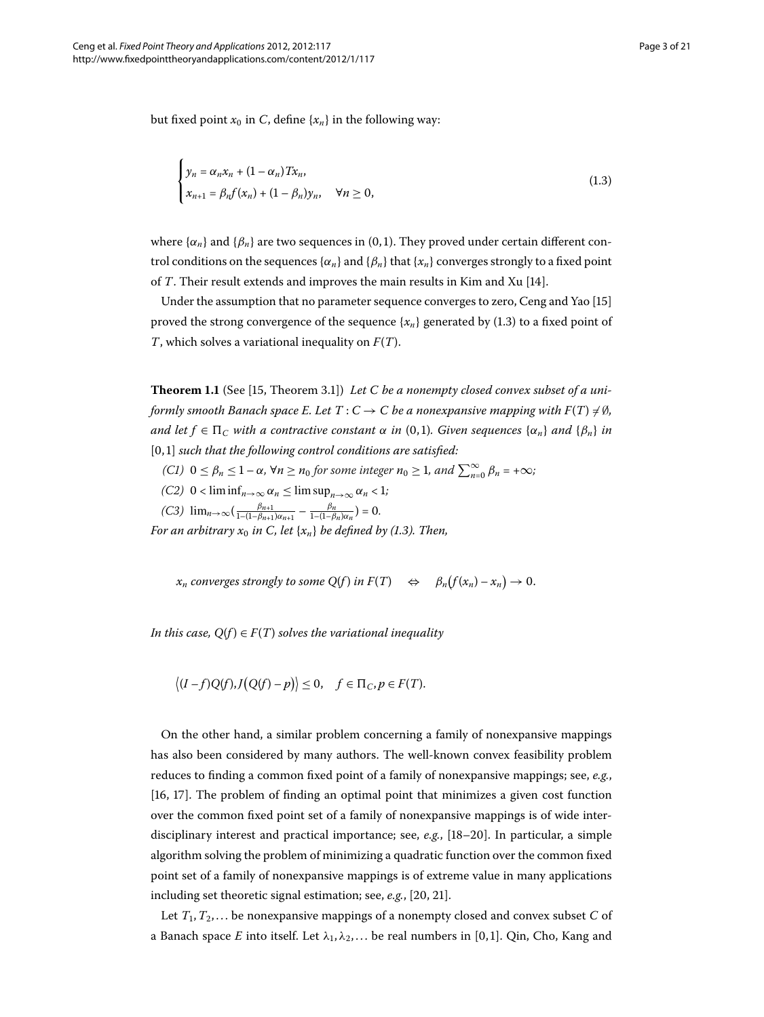but fixed point  $x_0$  in *C*, define  $\{x_n\}$  in the following way:

<span id="page-2-0"></span>
$$
\begin{cases}\n y_n = \alpha_n x_n + (1 - \alpha_n) T x_n, \\
 x_{n+1} = \beta_n f(x_n) + (1 - \beta_n) y_n, \quad \forall n \ge 0,\n\end{cases}
$$
\n(1.3)

where  $\{\alpha_n\}$  and  $\{\beta_n\}$  are two sequences in (0,1). They proved under certain different control conditions on the sequences  $\{\alpha_n\}$  and  $\{\beta_n\}$  that  $\{x_n\}$  converges strongly to a fixed point of *T*. Their result extends and improves the main results in Kim and Xu [\[](#page-19-12)14].

Under the assumption that no parameter sequence converges to zero, Ceng and Yao [\[](#page-19-14)15] proved the strong convergence of the sequence  ${x_n}$  generated by (1[.](#page-2-0)3) to a fixed point of *T*, which solves a variational inequality on *F*(*T*).

**Theorem 1.1** (See [15[,](#page-19-14) Theorem 3.1]) Let C be a nonempty closed convex subset of a uniformly smooth Banach space E. Let  $T$  :  $C \rightarrow C$  be a nonexpansive mapping with  $F(T) \neq \emptyset$ , *and let*  $f \in \Pi_C$  *with a contractive constant*  $\alpha$  *in* (0,1). Given sequences  $\{\alpha_n\}$  and  $\{\beta_n\}$  *in* [0,1] such that the following control conditions are satisfied:

- $f(C1)$   $0 \le \beta_n \le 1 \alpha$ ,  $\forall n \ge n_0$  for some integer  $n_0 \ge 1$ , and  $\sum_{n=0}^{\infty} \beta_n = +\infty$ ;
- $(C2)$  0 < lim  $\inf_{n\to\infty} \alpha_n \leq \limsup_{n\to\infty} \alpha_n < 1;$

 $(C3)$   $\lim_{n\to\infty} \left( \frac{\beta_{n+1}}{1-(1-\beta_{n+1})\alpha_{n+1}} - \frac{\beta_n}{1-(1-\beta_n)\alpha_n} \right) = 0.$ 

*For an arbitrary*  $x_0$  *in C, let*  $\{x_n\}$  *be defined by (1.3). Then,* 

 $x_n$  *converges strongly to some Q(f) in*  $F(T) \Leftrightarrow \beta_n(f(x_n) - x_n) \to 0$ .

*In this case,*  $Q(f) \in F(T)$  *solves the variational inequality* 

 $\langle (I - f)Q(f), J(Q(f) - p) \rangle \leq 0, \quad f \in \Pi_C, p \in F(T).$ 

On the other hand, a similar problem concerning a family of nonexpansive mappings has also been considered by many authors. The well-known convex feasibility problem reduces to finding a common fixed point of a family of nonexpansive mappings; see, *e.g.*,  $[16, 17]$  $[16, 17]$  $[16, 17]$ . The problem of finding an optimal point that minimizes a given cost function over the common fixed point set of a family of nonexpansive mappings is of wide interdisciplinary interest and practical importance; see,  $e.g., [18-20]$ . In particular, a simple algorithm solving the problem of minimizing a quadratic function over the common fixed point set of a family of nonexpansive mappings is of extreme value in many applications including set theoretic signal estimation; see, *e.g.*, [20, 21[\]](#page-19-19).

Let  $T_1, T_2, \ldots$  be nonexpansive mappings of a nonempty closed and convex subset *C* of a Banach space *E* into itself. Let  $\lambda_1, \lambda_2, \ldots$  be real numbers in [0,1]. Qin, Cho, Kang and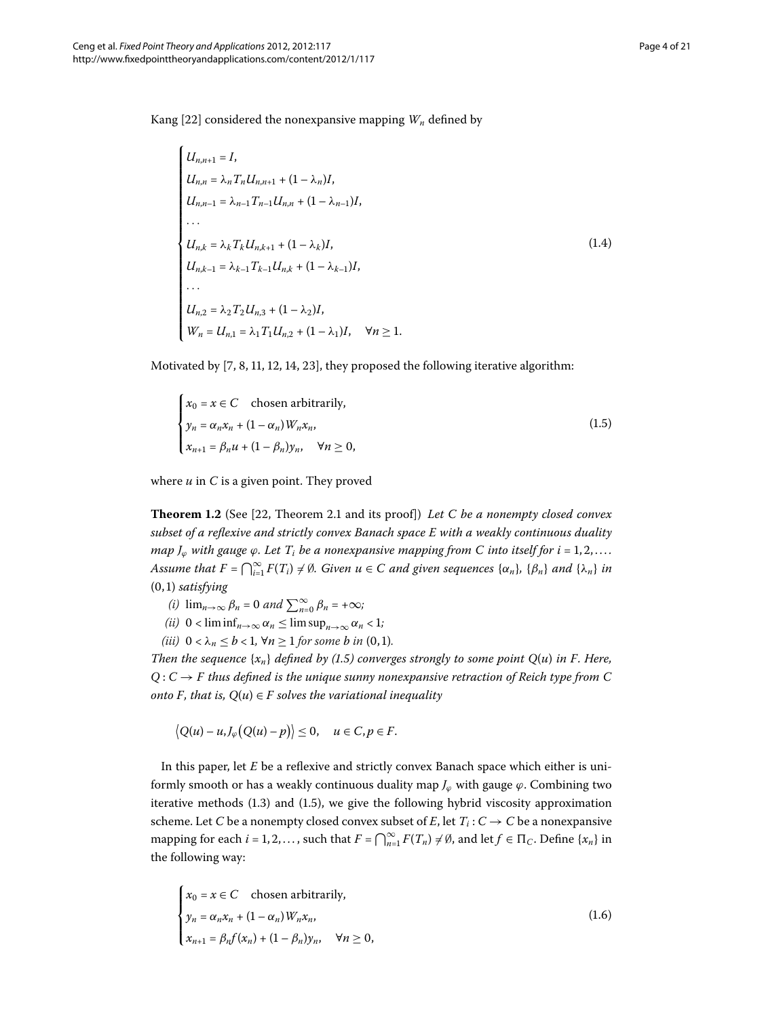<span id="page-3-1"></span> $\lambda$ 

Kang [\[](#page-19-20)22] considered the nonexpansive mapping  $W_n$  defined by

$$
U_{n,n+1} = I,
$$
  
\n
$$
U_{n,n} = \lambda_n T_n U_{n,n+1} + (1 - \lambda_n) I,
$$
  
\n
$$
U_{n,n-1} = \lambda_{n-1} T_{n-1} U_{n,n} + (1 - \lambda_{n-1}) I,
$$
  
\n...  
\n
$$
U_{n,k} = \lambda_k T_k U_{n,k+1} + (1 - \lambda_k) I,
$$
  
\n
$$
U_{n,k-1} = \lambda_{k-1} T_{k-1} U_{n,k} + (1 - \lambda_{k-1}) I,
$$
  
\n...  
\n
$$
U_{n,2} = \lambda_2 T_2 U_{n,3} + (1 - \lambda_2) I,
$$
  
\n
$$
W_n = U_{n,1} = \lambda_1 T_1 U_{n,2} + (1 - \lambda_1) I, \quad \forall n \ge 1.
$$
  
\n(1.4)

Motivated by  $[7, 8, 11, 12, 14, 23]$  $[7, 8, 11, 12, 14, 23]$  $[7, 8, 11, 12, 14, 23]$ , they proposed the following iterative algorithm:

<span id="page-3-2"></span><span id="page-3-0"></span>
$$
\begin{cases}\n x_0 = x \in C & \text{chosen arbitrarily,} \\
 y_n = \alpha_n x_n + (1 - \alpha_n) W_n x_n, \\
 x_{n+1} = \beta_n u + (1 - \beta_n) y_n, \quad \forall n \ge 0,\n\end{cases}
$$
\n(1.5)

where *u* in *C* is a given point. They proved

**Theorem 1.2** (See [\[](#page-19-20)22, Theorem 2.1 and its proof]) Let C be a nonempty closed convex *subset of a reflexive and strictly convex Banach space E with a weakly continuous duality map*  $J_{\varphi}$  *with gauge*  $\varphi$ *. Let*  $T_i$  *be a nonexpansive mapping from C into itself for i* = 1,2,... Assume that  $F = \bigcap_{i=1}^{\infty} F(T_i) \neq \emptyset$ . Given  $u \in C$  and given sequences  $\{\alpha_n\}$ ,  $\{\beta_n\}$  and  $\{\lambda_n\}$  in  $(0, 1)$  *satisfying* 

- $(i)$   $\lim_{n\to\infty} \beta_n = 0$  and  $\sum_{n=0}^{\infty} \beta_n = +\infty;$
- *(ii)*  $0 < \liminf_{n \to \infty} \alpha_n \le \limsup_{n \to \infty} \alpha_n < 1$ ;
- *(iii)*  $0 < \lambda_n \le b < 1$ ,  $\forall n \ge 1$  *for some b in* (0, 1)*.*

*Then the sequence*  $\{x_n\}$  *defined by (1.5) converges strongly to some point*  $Q(u)$  *in F. Here,*  $Q: C \rightarrow F$  thus defined is the unique sunny nonexpansive retraction of Reich type from C *onto F, that is,*  $Q(u) \in F$  *solves the variational inequality* 

<span id="page-3-3"></span>
$$
\big|Q(u)-u,J_{\varphi}\big(Q(u)-p\big)\big|\leq 0,\quad u\in C,p\in F.
$$

In this paper, let *E* be a reflexive and strictly convex Banach space which either is uniformly smooth or has a weakly continuous duality map  $J_{\varphi}$  with gauge  $\varphi$ . Combining two iterative methods  $(1.3)$  and  $(1.5)$ , we give the following hybrid viscosity approximation scheme. Let *C* be a nonempty closed convex subset of *E*, let  $T_i$  :  $C \rightarrow C$  be a nonexpansive mapping for each  $i = 1, 2, \ldots$ , such that  $F = \bigcap_{n=1}^{\infty} F(T_n) \neq \emptyset$ , and let  $f \in \Pi_C$ . Define  $\{x_n\}$  in the following way:

$$
\begin{cases}\n x_0 = x \in C & \text{chosen arbitrarily,} \\
 y_n = \alpha_n x_n + (1 - \alpha_n) W_n x_n, \\
 x_{n+1} = \beta_n f(x_n) + (1 - \beta_n) y_n, \quad \forall n \ge 0,\n\end{cases}
$$
\n(1.6)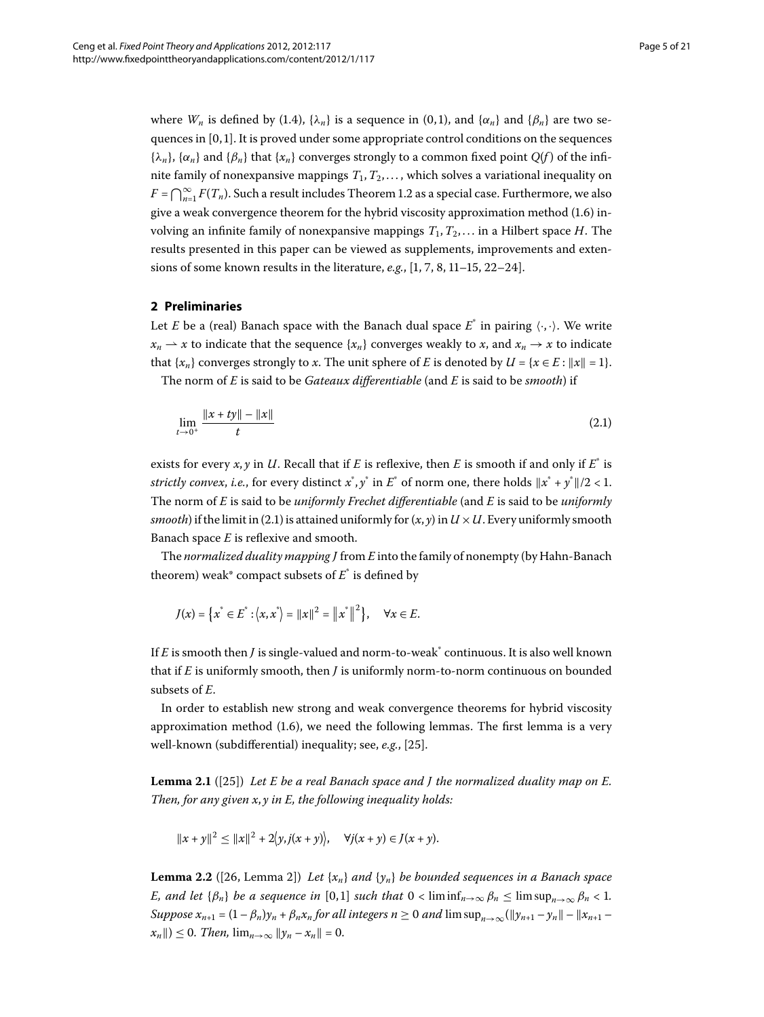<span id="page-4-0"></span>where  $W_n$  is defined by (1.4), { $\lambda_n$ } is a sequence in (0,1), and { $\alpha_n$ } and { $\beta_n$ } are two sequences in  $[0, 1]$ . It is proved under some appropriate control conditions on the sequences  ${\lambda_n}$ ,  ${\alpha_n}$  and  ${\beta_n}$  that  ${\alpha_n}$  converges strongly to a common fixed point *Q*(*f*) of the infinite family of nonexpansive mappings  $T_1, T_2, \ldots$ , which solves a variational inequality on  $F = \bigcap_{n=1}^{\infty} F(T_n)$ [.](#page-3-2) Such a result includes Theorem 1.2 as a special case. Furthermore, we also give a weak convergence theorem for the hybrid viscosity approximation method  $(1.6)$  $(1.6)$  $(1.6)$  involving an infinite family of nonexpansive mappings *T*,*T*, . . . in a Hilbert space *H*. The results presented in this paper can be viewed as supplements, improvements and exten-sions of some known results in the literature[,](#page-19-21)  $e.g., [1, 7, 8, 11-15, 22-24].$ 

## **2 Preliminaries**

Let *E* be a (real) Banach space with the Banach dual space  $E^*$  in pairing  $\langle \cdot, \cdot \rangle$ . We write  $x_n \rightharpoonup x$  to indicate that the sequence  $\{x_n\}$  converges weakly to *x*, and  $x_n \rightharpoonup x$  to indicate that  $\{x_n\}$  converges strongly to *x*. The unit sphere of *E* is denoted by  $U = \{x \in E : ||x|| = 1\}$ .

The norm of *E* is said to be *Gateaux differentiable* (and *E* is said to be *smooth*) if

<span id="page-4-1"></span>
$$
\lim_{t \to 0^+} \frac{\|x + ty\| - \|x\|}{t}
$$
\n(2.1)

exists for every  $x, y$  in *U*. Recall that if *E* is reflexive, then *E* is smooth if and only if  $E^*$  is *strictly convex, i.e.,* for every distinct  $x^*$ ,  $y^*$  in  $E^*$  of norm one, there holds  $||x^* + y^*||/2 < 1$ . The norm of *E* is said to be *uniformly Frechet differentiable* (and *E* is said to be *uniformly smooth*) if the limit in (2[.](#page-4-1)1) is attained uniformly for  $(x, y)$  in  $U \times U$ . Every uniformly smooth Banach space *E* is reflexive and smooth.

The *normalized duality mapping J* from *E* into the family of nonempty (by Hahn-Banach theorem) weak\* compact subsets of  $E^*$  is defined by

$$
J(x) = \{x^* \in E^* : \langle x, x^* \rangle = ||x||^2 = ||x^*||^2\}, \quad \forall x \in E.
$$

<span id="page-4-3"></span>If *E* is smooth then *J* is single-valued and norm-to-weak<sup>\*</sup> continuous. It is also well known that if *E* is uniformly smooth, then *J* is uniformly norm-to-norm continuous on bounded subsets of *E*.

In order to establish new strong and weak convergence theorems for hybrid viscosity approximation method  $(1.6)$ , we need the following lemmas. The first lemma is a very well-known (subdifferential) inequality; see, *e.g.*, [\[](#page-20-2)25].

<span id="page-4-2"></span>**Lemma 2.1** ([25[\]](#page-20-2)) Let E be a real Banach space and *J* the normalized duality map on E. *Then, for any given x*, *y in E, the following inequality holds:*

$$
||x + y||^2 \le ||x||^2 + 2\langle y, j(x + y) \rangle
$$
,  $\forall j(x + y) \in J(x + y)$ .

**Lemma 2.2** ([26, Lemma 2]) Let  $\{x_n\}$  and  $\{y_n\}$  be bounded sequences in a Banach space *E, and let*  $\{\beta_n\}$  *be a sequence in* [0,1] *such that*  $0 < \liminf_{n \to \infty} \beta_n \le \limsup_{n \to \infty} \beta_n < 1$ . *Suppose*  $x_{n+1} = (1 - \beta_n)y_n + \beta_n x_n$  *for all integers*  $n \ge 0$  *and*  $\limsup_{n \to \infty} (\|y_{n+1} - y_n\| - \|x_{n+1} - y_n\|)$  $||x_n|| \leq 0$ . Then,  $\lim_{n \to \infty} ||y_n - x_n|| = 0$ .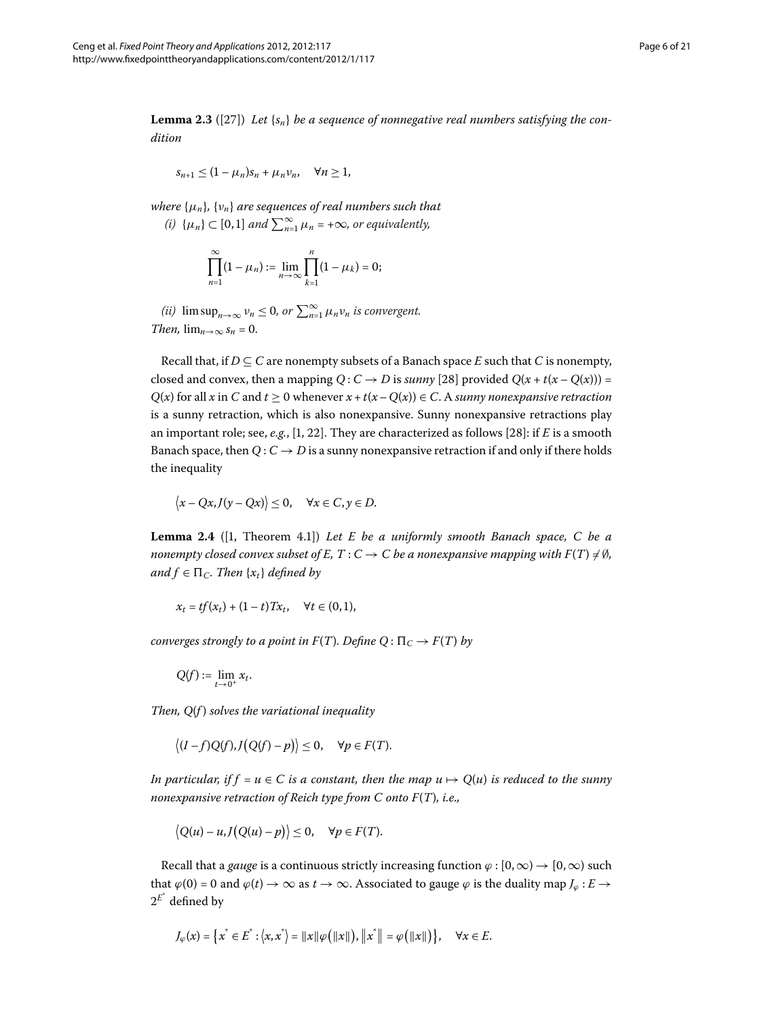<span id="page-5-1"></span>**Lemma 2.3** ([27[\]](#page-20-4)) Let  $\{s_n\}$  be a sequence of nonnegative real numbers satisfying the con*dition*

$$
s_{n+1} \leq (1 - \mu_n)s_n + \mu_n \nu_n, \quad \forall n \geq 1,
$$

*where* {*μn*}*,* {*νn*} *are sequences of real numbers such that*  $(i) \{\mu_n\} \subset [0,1]$  and  $\sum_{n=1}^{\infty} \mu_n = +\infty$ , or equivalently,

$$
\prod_{n=1}^{\infty} (1 - \mu_n) := \lim_{n \to \infty} \prod_{k=1}^{n} (1 - \mu_k) = 0;
$$

*(ii)*  $\limsup_{n\to\infty} v_n \leq 0$ , or  $\sum_{n=1}^{\infty} \mu_n v_n$  is convergent. *Then,*  $\lim_{n\to\infty} s_n = 0$ .

Recall that, if  $D \subseteq C$  are nonempty subsets of a Banach space *E* such that *C* is nonempty, closed and convex, then a mapping  $Q: C \rightarrow D$  is *sunny* [28] provided  $Q(x + t(x - Q(x)))$  =  $Q(x)$  for all *x* in *C* and  $t \ge 0$  whenever  $x + t(x - Q(x)) \in C$ . A *sunny nonexpansive retraction* is a sunny retraction, which is also nonexpansive. Sunny nonexpansive retractions play an important role; see, e.g., [\[](#page-19-4)1, 22[\]](#page-19-20). They are characterized as follows [28]: if *E* is a smooth Banach space, then  $Q: C \rightarrow D$  is a sunny nonexpansive retraction if and only if there holds the inequality

<span id="page-5-0"></span>
$$
\langle x - Qx, J(y - Qx) \rangle \leq 0, \quad \forall x \in C, y \in D.
$$

**Lemma 2.4** ([1, Theorem 4.1]) *Let E be a uniformly smooth Banach space, C be a* nonempty closed convex subset of E, T : C  $\rightarrow$  C be a nonexpansive mapping with F(T) ≠ Ø*, and*  $f \in \Pi_C$ *. Then*  $\{x_t\}$  *defined by* 

$$
x_t = tf(x_t) + (1-t)Tx_t, \quad \forall t \in (0,1),
$$

*converges strongly to a point in*  $F(T)$ *. Define*  $Q: \Pi_C \rightarrow F(T)$  *by* 

$$
Q(f):=\lim_{t\to 0^+}x_t.
$$

*Then, Q*(*f* ) *solves the variational inequality*

$$
\langle (I-f)Q(f),J(Q(f)-p)\rangle\leq 0,\quad \forall p\in F(T).
$$

*In particular, if f* =  $u \in C$  *is a constant, then the map*  $u \mapsto Q(u)$  *is reduced to the sunny nonexpansive retraction of Reich type from C onto F*(*T*)*, i.e.,*

$$
\big|Q(u)-u,J\big(Q(u)-p\big)\big|\leq 0,\quad \forall p\in F(T).
$$

Recall that a *gauge* is a continuous strictly increasing function  $\varphi$  :  $[0,\infty) \rightarrow [0,\infty)$  such that  $\varphi$ (0) = 0 and  $\varphi$ (*t*)  $\rightarrow \infty$  as *t*  $\rightarrow \infty$ . Associated to gauge  $\varphi$  is the duality map *J*<sub> $\varphi$ </sub> : *E*  $\rightarrow$  $2^{\mathit{E}^*}$  defined by

$$
J_{\varphi}(x) = \{x^* \in E^* : \langle x, x^* \rangle = ||x|| \varphi(||x||), ||x^*|| = \varphi(||x||)\}, \quad \forall x \in E.
$$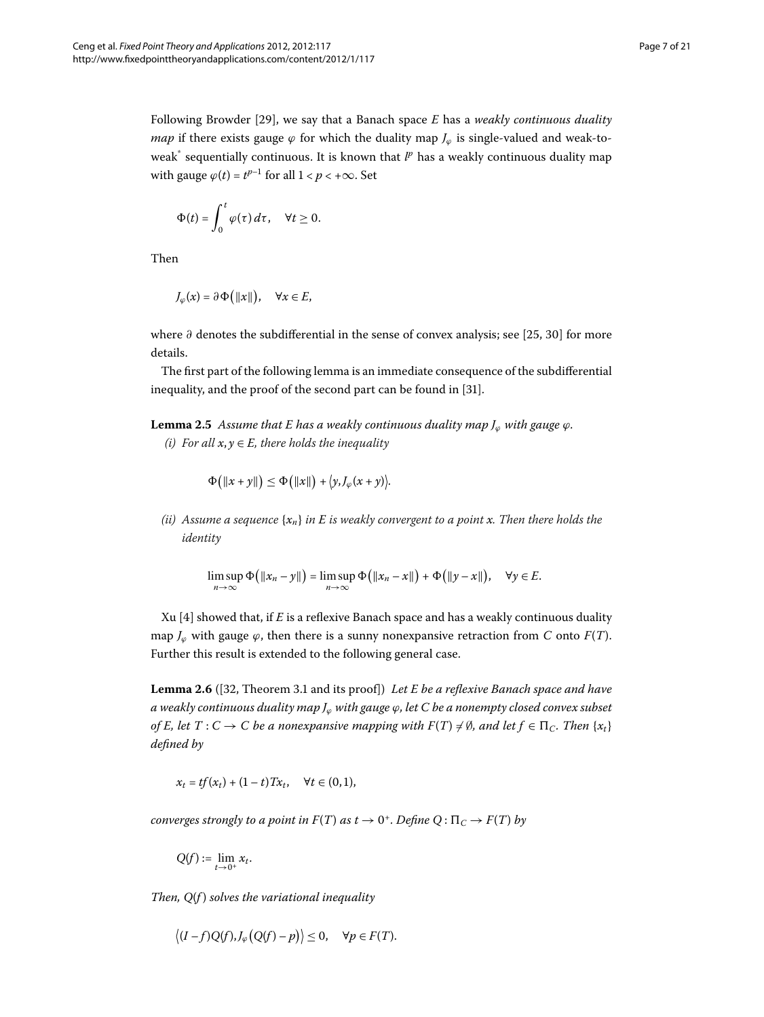Following Browder [29], we say that a Banach space *E* has a *weakly continuous duality map* if there exists gauge  $\varphi$  for which the duality map  $J_{\varphi}$  is single-valued and weak-toweak<sup>\*</sup> sequentially continuous. It is known that  $l^p$  has a weakly continuous duality map with gauge  $\varphi(t) = t^{p-1}$  for all  $1 < p < +\infty$ . Set

$$
\Phi(t)=\int_0^t \varphi(\tau)\,d\tau,\quad \forall t\geq 0.
$$

Then

$$
J_{\varphi}(x) = \partial \Phi(|x||), \quad \forall x \in E,
$$

<span id="page-6-1"></span>where ∂ denotes the subdifferential in the sense of convex analysis; see [25[,](#page-20-2) 30[\]](#page-20-7) for more details.

The first part of the following lemma is an immediate consequence of the subdifferential inequality, and the proof of the second part can be found in [31].

**Lemma 2.5** Assume that E has a weakly continuous duality map  $J_{\varphi}$  with gauge  $\varphi$ . *(i)* For all  $x, y \in E$ , there holds the inequality

$$
\Phi(|x+y||) \leq \Phi(|x||) + \langle y, J_{\varphi}(x+y) \rangle.
$$

*(ii) Assume a sequence* {*xn*} *in E is weakly convergent to a point x. Then there holds the identity*

<span id="page-6-0"></span>
$$
\limsup_{n\to\infty}\Phi\big(\|x_n-y\|\big)=\limsup_{n\to\infty}\Phi\big(\|x_n-x\|\big)+\Phi\big(\|y-x\|\big),\quad\forall y\in E.
$$

Xu  $[4]$  showed that, if  $E$  is a reflexive Banach space and has a weakly continuous duality map  $J_{\varphi}$  with gauge  $\varphi$ , then there is a sunny nonexpansive retraction from *C* onto *F*(*T*). Further this result is extended to the following general case.

**Lemma 2.6** ([\[](#page-20-9)32, Theorem 3.1 and its proof]) *Let E be a reflexive Banach space and have a weakly continuous duality map J<sup>ϕ</sup> with gauge ϕ, let C be a nonempty closed convex subset of E, let T* : *C*  $\rightarrow$  *C be a nonexpansive mapping with F*(*T*)  $\neq$  Ø, and let  $f \in \Pi_C$ . Then { $x_t$ } *defined by*

$$
x_t = tf(x_t) + (1-t)Tx_t, \quad \forall t \in (0,1),
$$

*converges strongly to a point in*  $F(T)$  *as*  $t \to 0^+$ *. Define*  $Q: \Pi_C \to F(T)$  *by* 

$$
Q(f) := \lim_{t \to 0^+} x_t.
$$

*Then, Q*(*f* ) *solves the variational inequality*

$$
\langle (I-f)Q(f), J_{\varphi}(Q(f)-p) \rangle \leq 0, \quad \forall p \in F(T).
$$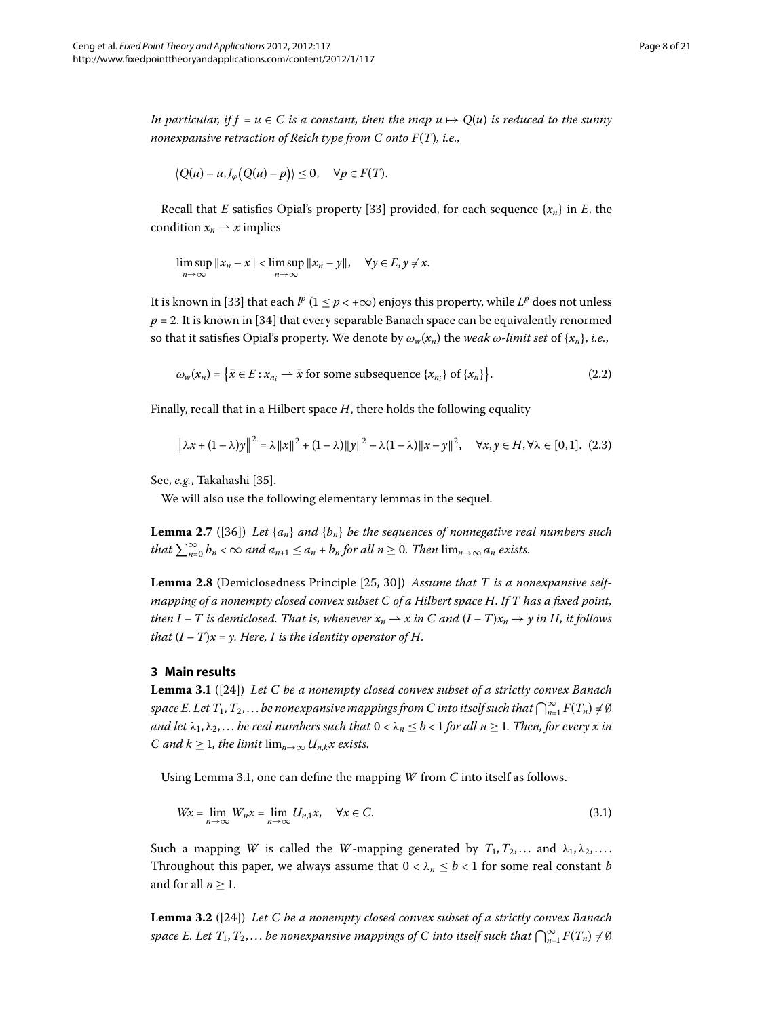*In particular, if f* =  $u \in C$  *is a constant, then the map*  $u \mapsto Q(u)$  *is reduced to the sunny nonexpansive retraction of Reich type from C onto F*(*T*)*, i.e.,*

$$
\big|Q(u)-u,J_{\varphi}\big(Q(u)-p\big)\big|\leq 0,\quad \forall p\in F(T).
$$

Recall that *E* satisfies Opial's property [33] provided, for each sequence  $\{x_n\}$  in *E*, the condition  $x_n \rightharpoonup x$  implies

<span id="page-7-5"></span>
$$
\limsup_{n\to\infty}||x_n - x|| < \limsup_{n\to\infty}||x_n - y||, \quad \forall y \in E, y \neq x.
$$

It is known in [33[\]](#page-20-10) that each  $l^p$  ( $1 \leq p < +\infty$ ) enjoys this property, while  $L^p$  does not unless  $p = 2$ . It is known in [34] that every separable Banach space can be equivalently renormed so that it satisfies Opial's property. We denote by  $\omega_w(x_n)$  the *weak*  $\omega$ *-limit set* of  $\{x_n\}$ *, i.e.*,

<span id="page-7-3"></span>
$$
\omega_w(x_n) = \left\{ \bar{x} \in E : x_{n_i} \longrightarrow \bar{x} \text{ for some subsequence } \{x_{n_i}\} \text{ of } \{x_n\} \right\}. \tag{2.2}
$$

<span id="page-7-4"></span>Finally, recall that in a Hilbert space *H*, there holds the following equality

<span id="page-7-6"></span>
$$
\|\lambda x + (1 - \lambda)y\|^2 = \lambda \|x\|^2 + (1 - \lambda)\|y\|^2 - \lambda(1 - \lambda)\|x - y\|^2, \quad \forall x, y \in H, \forall \lambda \in [0, 1]. \tag{2.3}
$$

See, *e.g.*, Takahashi [\[](#page-20-12)35].

We will also use the following elementary lemmas in the sequel.

**Lemma 2.7** ([36]) Let  $\{a_n\}$  and  $\{b_n\}$  be the sequences of nonnegative real numbers such *that*  $\sum_{n=0}^{\infty} b_n < \infty$  and  $a_{n+1} \le a_n + b_n$  for all  $n \ge 0$ . Then  $\lim_{n\to\infty} a_n$  exists.

<span id="page-7-0"></span>**Lemma 2.8** (Demiclosedness Principle [25[,](#page-20-2) 30[\]](#page-20-7)) *Assume that T is a nonexpansive selfmapping of a nonempty closed convex subset C of a Hilbert space H. If T has a fixed point, then*  $I - T$  *is demiclosed. That is, whenever*  $x_n \rightharpoonup x$  *in* C and  $(I - T)x_n \rightharpoonup y$  *in* H, *it follows that*  $(I - T)x = y$ *. Here, I is the identity operator of H.* 

#### **3 Main results**

**Lemma 3.1** ([\[](#page-20-1)24]) *Let C be a nonempty closed convex subset of a strictly convex Banach* space E. Let  $T_1, T_2, \ldots$  be nonexpansive mappings from C into itself such that  $\bigcap_{n=1}^\infty F(T_n) \neq \emptyset$ *and let*  $\lambda_1, \lambda_2, \ldots$  *be real numbers such that*  $0 < \lambda_n \leq b < 1$  *for all*  $n \geq 1$ *. Then, for every x in C* and  $k \geq 1$ , the limit  $\lim_{n\to\infty} U_{n,k}x$  exists.

Using Lemma 3.1, one can define the mapping *W* from *C* into itself as follows.

<span id="page-7-2"></span><span id="page-7-1"></span>
$$
Wx = \lim_{n \to \infty} W_n x = \lim_{n \to \infty} U_{n,1} x, \quad \forall x \in C.
$$
\n(3.1)

Such a mapping *W* is called the *W*-mapping generated by  $T_1, T_2, \ldots$  and  $\lambda_1, \lambda_2, \ldots$ . Throughout this paper, we always assume that  $0 < \lambda_n \leq b < 1$  for some real constant *b* and for all  $n \geq 1$ .

**Lemma 3.2** ([24]) Let C be a nonempty closed convex subset of a strictly convex Banach space E. Let  $T_1, T_2, \ldots$  be nonexpansive mappings of C into itself such that  $\bigcap_{n=1}^\infty F(T_n) \neq \emptyset$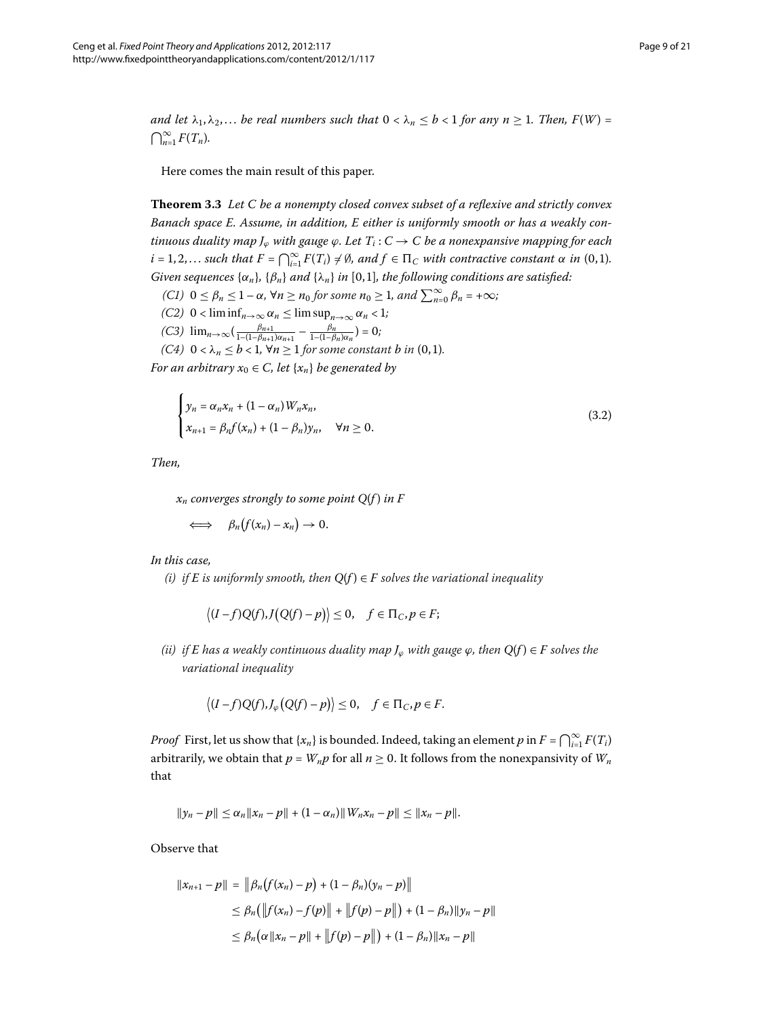<span id="page-8-1"></span>*and let*  $\lambda_1, \lambda_2, \ldots$  *be real numbers such that*  $0 < \lambda_n \leq b < 1$  *for any n*  $\geq 1$ *. Then, F(W)* =  $\bigcap_{n=1}^{\infty} F(T_n)$ .

Here comes the main result of this paper.

**Theorem .** *Let C be a nonempty closed convex subset of a reflexive and strictly convex Banach space E. Assume, in addition, E either is uniformly smooth or has a weakly continuous duality map*  $J_{\varphi}$  *with gauge*  $\varphi$ *. Let*  $T_i$  :  $C \rightarrow C$  *be a nonexpansive mapping for each*  $i = 1, 2, \ldots$  such that  $F = \bigcap_{i=1}^{\infty} F(T_i) \neq \emptyset$ , and  $f \in \Pi_C$  with contractive constant  $\alpha$  in  $(0, 1)$ . *Given sequences*  $\{\alpha_n\}$ *,*  $\{\beta_n\}$  *and*  $\{\lambda_n\}$  *in* [0,1]*, the following conditions are satisfied:* 

- <span id="page-8-0"></span> $(CI)$   $0 \le \beta_n \le 1 - \alpha$ ,  $\forall n \ge n_0$  for some  $n_0 \ge 1$ , and  $\sum_{n=0}^{\infty} \beta_n = +\infty$ ;
- *(C2)*  $0 < \liminf_{n \to \infty} \alpha_n \le \limsup_{n \to \infty} \alpha_n < 1$ ;  $(C3)$   $\lim_{n\to\infty} \left( \frac{\beta_{n+1}}{1-(1-\beta_{n+1})\alpha_{n+1}} - \frac{\beta_n}{1-(1-\beta_n)\alpha_n} \right) = 0;$
- *(C4)*  $0 < \lambda_n \leq b < 1$ ,  $\forall n \geq 1$  *for some constant b in* (0,1)*.*

*For an arbitrary*  $x_0 \in C$ *, let*  $\{x_n\}$  *be generated by* 

$$
\begin{cases}\n y_n = \alpha_n x_n + (1 - \alpha_n) W_n x_n, \\
 x_{n+1} = \beta_n f(x_n) + (1 - \beta_n) y_n, \quad \forall n \ge 0.\n\end{cases}
$$
\n(3.2)

*Then,*

 $x_n$  *converges strongly to some point*  $Q(f)$  *in F* 

 $\Leftrightarrow$   $\beta_n(f(x_n)-x_n)\to 0.$ 

*In this case,*

*(i) if*  $E$  *is uniformly smooth, then*  $Q(f) \in F$  *solves the variational inequality* 

$$
\langle (I-f)Q(f),J(Q(f)-p) \rangle \leq 0, \quad f \in \Pi_C, p \in F;
$$

*(ii) if E* has a weakly continuous duality map  $J_{\omega}$  with gauge  $\varphi$ , then  $Q(f) \in F$  solves the *variational inequality*

$$
\langle (I-f)Q(f), J_{\varphi}(Q(f)-p) \rangle \leq 0, \quad f \in \Pi_C, p \in F.
$$

*Proof* First, let us show that  $\{x_n\}$  is bounded. Indeed, taking an element  $p$  in  $F = \bigcap_{i=1}^{\infty} F(T_i)$ arbitrarily, we obtain that  $p = W_n p$  for all  $n \ge 0$ . It follows from the nonexpansivity of  $W_n$ that

$$
||y_n-p|| \leq \alpha_n ||x_n-p|| + (1-\alpha_n)||W_nx_n-p|| \leq ||x_n-p||.
$$

Observe that

$$
||x_{n+1} - p|| = ||\beta_n(f(x_n) - p) + (1 - \beta_n)(y_n - p)||
$$
  
\n
$$
\leq \beta_n(||f(x_n) - f(p)|| + ||f(p) - p||) + (1 - \beta_n)||y_n - p||
$$
  
\n
$$
\leq \beta_n(\alpha ||x_n - p|| + ||f(p) - p||) + (1 - \beta_n)||x_n - p||
$$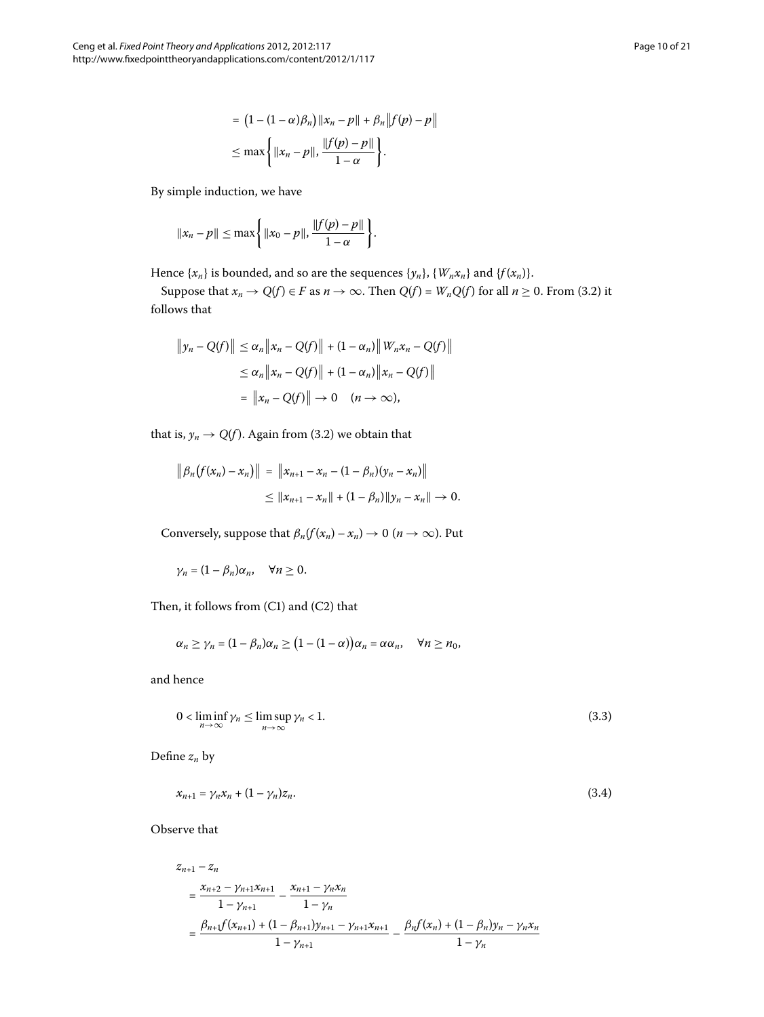$$
= (1 - (1 - \alpha)\beta_n) ||x_n - p|| + \beta_n ||f(p) - p||
$$
  
\n
$$
\leq \max \left\{ ||x_n - p||, \frac{||f(p) - p||}{1 - \alpha} \right\}.
$$

By simple induction, we have

$$
||x_n - p|| \le \max\left\{ ||x_0 - p||, \frac{||f(p) - p||}{1 - \alpha} \right\}.
$$

Hence  $\{x_n\}$  is bounded, and so are the sequences  $\{y_n\}$ ,  $\{W_n x_n\}$  and  $\{f(x_n)\}$ .

Suppose that  $x_n \to Q(f) \in F$  as  $n \to \infty$ . Then  $Q(f) = W_n Q(f)$  for all  $n \ge 0$ . From (3.2) it follows that

$$
||y_n - Q(f)|| \le \alpha_n ||x_n - Q(f)|| + (1 - \alpha_n) ||W_n x_n - Q(f)||
$$
  
\n
$$
\le \alpha_n ||x_n - Q(f)|| + (1 - \alpha_n) ||x_n - Q(f)||
$$
  
\n
$$
= ||x_n - Q(f)|| \to 0 \quad (n \to \infty),
$$

that is,  $y_n \to Q(f)$ . Again from (3.2) we obtain that

$$
\|\beta_n(f(x_n)-x_n)\| = \|x_{n+1}-x_n-(1-\beta_n)(y_n-x_n)\|
$$
  
\n
$$
\leq \|x_{n+1}-x_n\|+(1-\beta_n)\|y_n-x_n\| \to 0.
$$

Conversely, suppose that  $\beta_n(f(x_n) - x_n) \to 0 \ (n \to \infty)$ . Put

<span id="page-9-0"></span>
$$
\gamma_n=(1-\beta_n)\alpha_n, \quad \forall n\geq 0.
$$

Then, it follows from  $(C1)$  and  $(C2)$  that

<span id="page-9-1"></span>
$$
\alpha_n \geq \gamma_n = (1 - \beta_n)\alpha_n \geq (1 - (1 - \alpha))\alpha_n = \alpha \alpha_n, \quad \forall n \geq n_0,
$$

and hence

$$
0 < \liminf_{n \to \infty} \gamma_n \le \limsup_{n \to \infty} \gamma_n < 1. \tag{3.3}
$$

Define *zn* by

$$
x_{n+1} = \gamma_n x_n + (1 - \gamma_n) z_n. \tag{3.4}
$$

Observe that

$$
z_{n+1} - z_n
$$
  
= 
$$
\frac{x_{n+2} - y_{n+1}x_{n+1}}{1 - y_{n+1}} - \frac{x_{n+1} - y_nx_n}{1 - y_n}
$$
  
= 
$$
\frac{\beta_{n+1}f(x_{n+1}) + (1 - \beta_{n+1})y_{n+1} - y_{n+1}x_{n+1}}{1 - y_{n+1}} - \frac{\beta_n f(x_n) + (1 - \beta_n)y_n - y_nx_n}{1 - y_n}
$$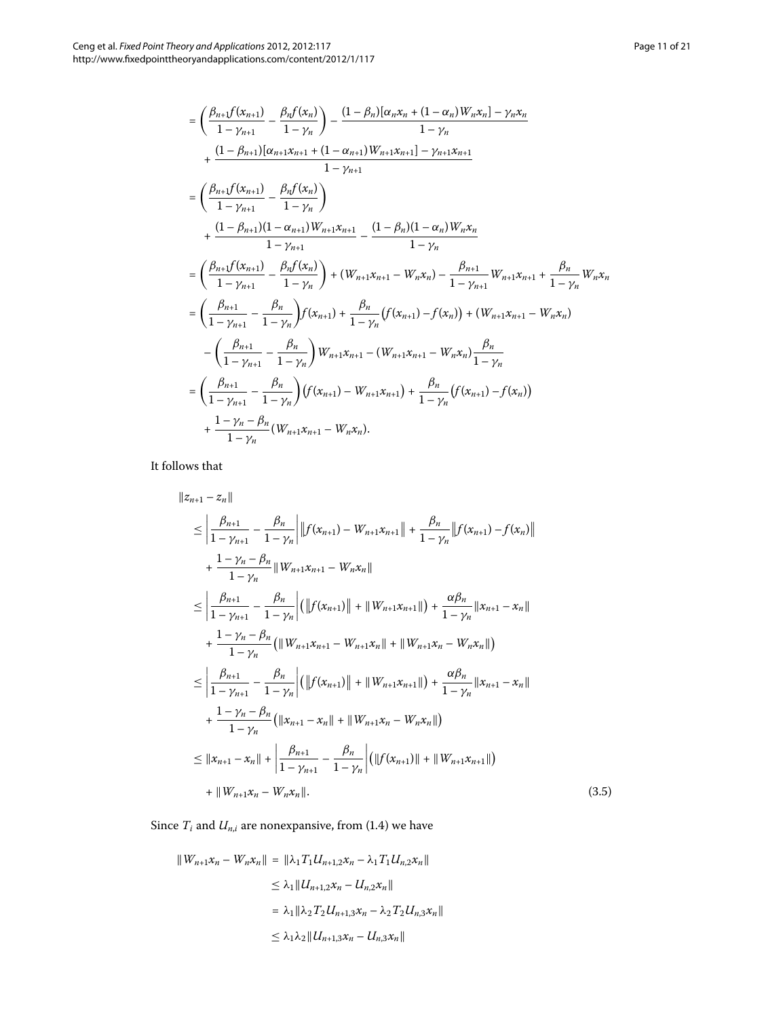$$
= \left(\frac{\beta_{n+1}f(x_{n+1})}{1-\gamma_{n+1}} - \frac{\beta_{n}f(x_{n})}{1-\gamma_{n}}\right) - \frac{(1-\beta_{n})[\alpha_{n}x_{n} + (1-\alpha_{n})W_{n}x_{n}] - \gamma_{n}x_{n}}{1-\gamma_{n}} + \frac{(1-\beta_{n+1})[\alpha_{n+1}x_{n+1} + (1-\alpha_{n+1})W_{n+1}x_{n+1}] - \gamma_{n+1}x_{n+1}}{1-\gamma_{n+1}} \\
= \left(\frac{\beta_{n+1}f(x_{n+1})}{1-\gamma_{n+1}} - \frac{\beta_{n}f(x_{n})}{1-\gamma_{n}}\right) + \frac{(1-\beta_{n+1})(1-\alpha_{n+1})W_{n+1}x_{n+1}}{1-\gamma_{n}} - \frac{(1-\beta_{n})(1-\alpha_{n})W_{n}x_{n}}{1-\gamma_{n}} \\
= \left(\frac{\beta_{n+1}f(x_{n+1})}{1-\gamma_{n+1}} - \frac{\beta_{n}f(x_{n})}{1-\gamma_{n}}\right) + (W_{n+1}x_{n+1} - W_{n}x_{n}) - \frac{\beta_{n+1}}{1-\gamma_{n+1}}W_{n+1}x_{n+1} + \frac{\beta_{n}}{1-\gamma_{n}}W_{n}x_{n} \\
= \left(\frac{\beta_{n+1}}{1-\gamma_{n+1}} - \frac{\beta_{n}}{1-\gamma_{n}}\right)f(x_{n+1}) + \frac{\beta_{n}}{1-\gamma_{n}}\left(f(x_{n+1}) - f(x_{n})\right) + (W_{n+1}x_{n+1} - W_{n}x_{n}) \\
- \left(\frac{\beta_{n+1}}{1-\gamma_{n+1}} - \frac{\beta_{n}}{1-\gamma_{n}}\right)W_{n+1}x_{n+1} - (W_{n+1}x_{n+1} - W_{n}x_{n})\frac{\beta_{n}}{1-\gamma_{n}} \\
= \left(\frac{\beta_{n+1}}{1-\gamma_{n+1}} - \frac{\beta_{n}}{1-\gamma_{n}}\right)\left(f(x_{n+1}) - W_{n+1}x_{n+1}\right) + \frac{\beta_{n}}{1-\gamma_{n}}\left(f(x_{n+1}) - f(x_{n})\right) \\
+ \frac{1-\gamma_{n}-\beta_{n}}{1-\gamma_{n}}\left(W_{n+1}x_{n+1} - W_{n}x_{n}\right).
$$

It follows that

<span id="page-10-1"></span>
$$
||z_{n+1} - z_n||
$$
  
\n
$$
\leq \left| \frac{\beta_{n+1}}{1 - \gamma_{n+1}} - \frac{\beta_n}{1 - \gamma_n} \right| ||f(x_{n+1}) - W_{n+1}x_{n+1}|| + \frac{\beta_n}{1 - \gamma_n} ||f(x_{n+1}) - f(x_n)||
$$
  
\n
$$
+ \frac{1 - \gamma_n - \beta_n}{1 - \gamma_n} ||W_{n+1}x_{n+1} - W_nx_n||
$$
  
\n
$$
\leq \left| \frac{\beta_{n+1}}{1 - \gamma_{n+1}} - \frac{\beta_n}{1 - \gamma_n} \right| (||f(x_{n+1})|| + ||W_{n+1}x_{n+1}||) + \frac{\alpha \beta_n}{1 - \gamma_n} ||x_{n+1} - x_n||
$$
  
\n
$$
+ \frac{1 - \gamma_n - \beta_n}{1 - \gamma_n} (||W_{n+1}x_{n+1} - W_{n+1}x_n|| + ||W_{n+1}x_n - W_nx_n||)
$$
  
\n
$$
\leq \left| \frac{\beta_{n+1}}{1 - \gamma_{n+1}} - \frac{\beta_n}{1 - \gamma_n} \right| (||f(x_{n+1})|| + ||W_{n+1}x_{n+1}||) + \frac{\alpha \beta_n}{1 - \gamma_n} ||x_{n+1} - x_n||
$$
  
\n
$$
+ \frac{1 - \gamma_n - \beta_n}{1 - \gamma_n} (||x_{n+1} - x_n|| + ||W_{n+1}x_n - W_nx_n||)
$$
  
\n
$$
\leq ||x_{n+1} - x_n|| + \left| \frac{\beta_{n+1}}{1 - \gamma_{n+1}} - \frac{\beta_n}{1 - \gamma_n} \right| (||f(x_{n+1})|| + ||W_{n+1}x_{n+1}||)
$$
  
\n
$$
+ ||W_{n+1}x_n - W_nx_n||.
$$
\n(3.5)

<span id="page-10-0"></span>Since  $T_i$  and  $U_{n,i}$  are nonexpansive, from (1.4) we have

$$
||W_{n+1}x_n - W_nx_n|| = ||\lambda_1 T_1 U_{n+1,2}x_n - \lambda_1 T_1 U_{n,2}x_n||
$$
  
\n
$$
\leq \lambda_1 ||U_{n+1,2}x_n - U_{n,2}x_n||
$$
  
\n
$$
= \lambda_1 ||\lambda_2 T_2 U_{n+1,3}x_n - \lambda_2 T_2 U_{n,3}x_n||
$$
  
\n
$$
\leq \lambda_1 \lambda_2 ||U_{n+1,3}x_n - U_{n,3}x_n||
$$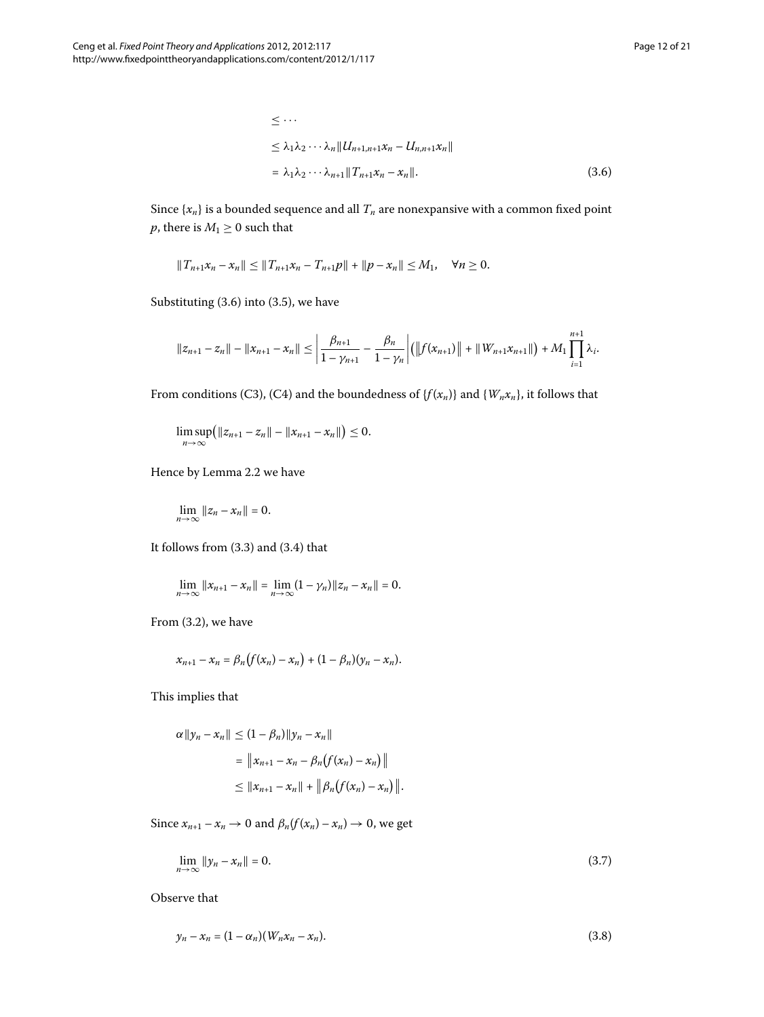$$
\leq \cdots
$$
\n
$$
\leq \lambda_1 \lambda_2 \cdots \lambda_n \| U_{n+1,n+1} x_n - U_{n,n+1} x_n \|
$$
\n
$$
= \lambda_1 \lambda_2 \cdots \lambda_{n+1} \| T_{n+1} x_n - x_n \|.
$$
\n(3.6)

Since  $\{x_n\}$  is a bounded sequence and all  $T_n$  are nonexpansive with a common fixed point *p*, there is  $M_1 \geq 0$  such that

 $||T_{n+1}x_n - x_n|| \le ||T_{n+1}x_n - T_{n+1}p|| + ||p - x_n|| \le M_1, \quad \forall n \ge 0.$ 

Substituting  $(3.6)$  $(3.6)$  $(3.6)$  into  $(3.5)$ , we have

$$
||z_{n+1}-z_n||-||x_{n+1}-x_n|| \leq \left|\frac{\beta_{n+1}}{1-\gamma_{n+1}}-\frac{\beta_n}{1-\gamma_n}\right| \left(\left||f(x_{n+1})\right||+\|W_{n+1}x_{n+1}||\right)+M_1\prod_{i=1}^{n+1}\lambda_i.
$$

From conditions (C3), (C4) and the boundedness of  $\{f(x_n)\}$  and  $\{W_n x_n\}$ , it follows that

lim sup *n*→∞  $(|z_{n+1} - z_n|| - ||x_{n+1} - x_n||) \leq 0.$ 

Hence by Lemma 2[.](#page-4-2)2 we have

$$
\lim_{n\to\infty}||z_n-x_n||=0.
$$

It follows from  $(3.3)$  $(3.3)$  $(3.3)$  and  $(3.4)$  that

$$
\lim_{n \to \infty} ||x_{n+1} - x_n|| = \lim_{n \to \infty} (1 - \gamma_n) ||z_n - x_n|| = 0.
$$

From  $(3.2)$ , we have

$$
x_{n+1} - x_n = \beta_n (f(x_n) - x_n) + (1 - \beta_n)(y_n - x_n).
$$

This implies that

<span id="page-11-0"></span>
$$
\alpha \|y_n - x_n\| \le (1 - \beta_n) \|y_n - x_n\|
$$
  
=  $\|x_{n+1} - x_n - \beta_n (f(x_n) - x_n)\|$   
 $\le \|x_{n+1} - x_n\| + \|\beta_n (f(x_n) - x_n)\|.$ 

Since  $x_{n+1} - x_n \to 0$  and  $\beta_n(f(x_n) - x_n) \to 0$ , we get

<span id="page-11-1"></span>
$$
\lim_{n \to \infty} \|y_n - x_n\| = 0. \tag{3.7}
$$

Observe that

$$
y_n - x_n = (1 - \alpha_n)(W_n x_n - x_n). \tag{3.8}
$$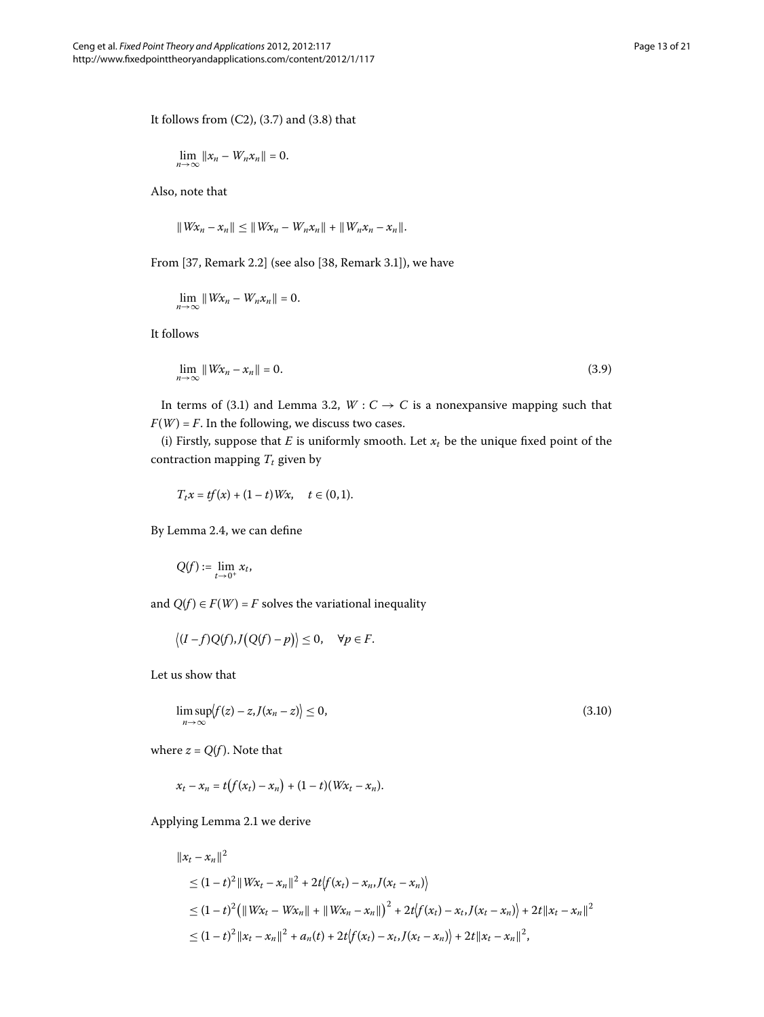It follows from  $(C2)$ ,  $(3.7)$  and  $(3.8)$  that

$$
\lim_{n\to\infty}||x_n-W_nx_n||=0.
$$

Also, note that

<span id="page-12-0"></span>
$$
||Wx_n - x_n|| \le ||Wx_n - W_nx_n|| + ||W_nx_n - x_n||.
$$

From  $[37,$  Remark 2.2] (see also  $[38,$  Remark 3.1]), we have

$$
\lim_{n\to\infty}||Wx_n-W_nx_n||=0.
$$

It follows

$$
\lim_{n \to \infty} \|Wx_n - x_n\| = 0.
$$
\n(3.9)

In terms of (3[.](#page-7-2)1) and Lemma 3.2,  $W : C \to C$  is a nonexpansive mapping such that  $F(W) = F$ . In the following, we discuss two cases.

(i) Firstly, suppose that  $E$  is uniformly smooth. Let  $x_t$  be the unique fixed point of the contraction mapping  $T_t$  given by

$$
T_t x = tf(x) + (1-t) Wx, \quad t \in (0,1).
$$

By Lemma 2.4, we can define

<span id="page-12-1"></span>
$$
Q(f):=\lim_{t\to 0^+}x_t,
$$

and  $Q(f) \in F(W) = F$  solves the variational inequality

$$
\langle (I-f)Q(f),J(Q(f)-p)\rangle\leq 0,\quad \forall p\in F.
$$

Let us show that

$$
\limsup_{n \to \infty} \langle f(z) - z, J(x_n - z) \rangle \le 0,
$$
\n(3.10)

where  $z = Q(f)$ . Note that

$$
x_t - x_n = t(f(x_t) - x_n) + (1 - t)(Wx_t - x_n).
$$

Applying Lemma 2[.](#page-4-3)1 we derive

$$
||x_t - x_n||^2
$$
  
\n
$$
\leq (1-t)^2 ||Wx_t - x_n||^2 + 2t \langle f(x_t) - x_n, J(x_t - x_n) \rangle
$$
  
\n
$$
\leq (1-t)^2 (||Wx_t - Wx_n|| + ||Wx_n - x_n||)^2 + 2t \langle f(x_t) - x_t, J(x_t - x_n) \rangle + 2t ||x_t - x_n||^2
$$
  
\n
$$
\leq (1-t)^2 ||x_t - x_n||^2 + a_n(t) + 2t \langle f(x_t) - x_t, J(x_t - x_n) \rangle + 2t ||x_t - x_n||^2,
$$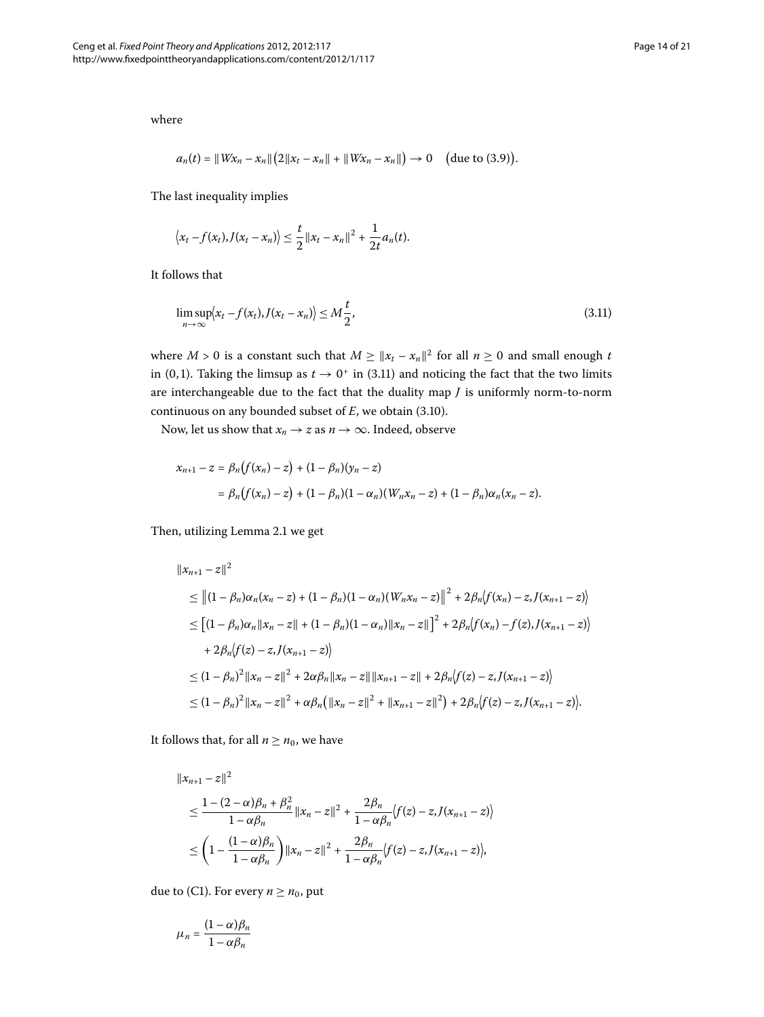where

<span id="page-13-0"></span>
$$
a_n(t) = \|Wx_n - x_n\| (2\|x_t - x_n\| + \|Wx_n - x_n\|) \to 0 \quad \text{(due to (3.9))}.
$$

The last inequality implies

$$
\langle x_t - f(x_t), J(x_t - x_n) \rangle \leq \frac{t}{2} ||x_t - x_n||^2 + \frac{1}{2t} a_n(t).
$$

It follows that

$$
\limsup_{n \to \infty} \langle x_t - f(x_t), J(x_t - x_n) \rangle \le M \frac{t}{2},\tag{3.11}
$$

where *M* > 0 is a constant such that  $M \ge ||x_t - x_n||^2$  for all  $n \ge 0$  and small enough *t* in (0,1)[.](#page-13-0) Taking the limsup as  $t \to 0^+$  in (3.11) and noticing the fact that the two limits are interchangeable due to the fact that the duality map *J* is uniformly norm-to-norm continuous on any bounded subset of  $E$ , we obtain  $(3.10)$ .

Now, let us show that  $x_n \to z$  as  $n \to \infty$ . Indeed, observe

$$
x_{n+1} - z = \beta_n (f(x_n) - z) + (1 - \beta_n)(y_n - z)
$$
  
=  $\beta_n (f(x_n) - z) + (1 - \beta_n)(1 - \alpha_n)(W_n x_n - z) + (1 - \beta_n)\alpha_n(x_n - z).$ 

Then, utilizing Lemma 2[.](#page-4-3)1 we get

$$
||x_{n+1} - z||^2
$$
  
\n
$$
\leq ||(1 - \beta_n)\alpha_n(x_n - z) + (1 - \beta_n)(1 - \alpha_n)(W_nx_n - z)||^2 + 2\beta_n \langle f(x_n) - z, J(x_{n+1} - z) \rangle
$$
  
\n
$$
\leq [(1 - \beta_n)\alpha_n ||x_n - z|| + (1 - \beta_n)(1 - \alpha_n)||x_n - z||^2 + 2\beta_n \langle f(x_n) - f(z), J(x_{n+1} - z) \rangle
$$
  
\n
$$
+ 2\beta_n \langle f(z) - z, J(x_{n+1} - z) \rangle
$$
  
\n
$$
\leq (1 - \beta_n)^2 ||x_n - z||^2 + 2\alpha\beta_n ||x_n - z|| ||x_{n+1} - z|| + 2\beta_n \langle f(z) - z, J(x_{n+1} - z) \rangle
$$
  
\n
$$
\leq (1 - \beta_n)^2 ||x_n - z||^2 + \alpha\beta_n \langle ||x_n - z||^2 + ||x_{n+1} - z||^2 \rangle + 2\beta_n \langle f(z) - z, J(x_{n+1} - z) \rangle.
$$

It follows that, for all  $n \geq n_0$ , we have

$$
||x_{n+1} - z||^{2}
$$
  
\n
$$
\leq \frac{1 - (2 - \alpha)\beta_{n} + \beta_{n}^{2}}{1 - \alpha\beta_{n}} ||x_{n} - z||^{2} + \frac{2\beta_{n}}{1 - \alpha\beta_{n}} \langle f(z) - z, J(x_{n+1} - z) \rangle
$$
  
\n
$$
\leq \left(1 - \frac{(1 - \alpha)\beta_{n}}{1 - \alpha\beta_{n}}\right) ||x_{n} - z||^{2} + \frac{2\beta_{n}}{1 - \alpha\beta_{n}} \langle f(z) - z, J(x_{n+1} - z) \rangle,
$$

due to (C1). For every  $n \geq n_0$ , put

$$
\mu_n = \frac{(1-\alpha)\beta_n}{1-\alpha\beta_n}
$$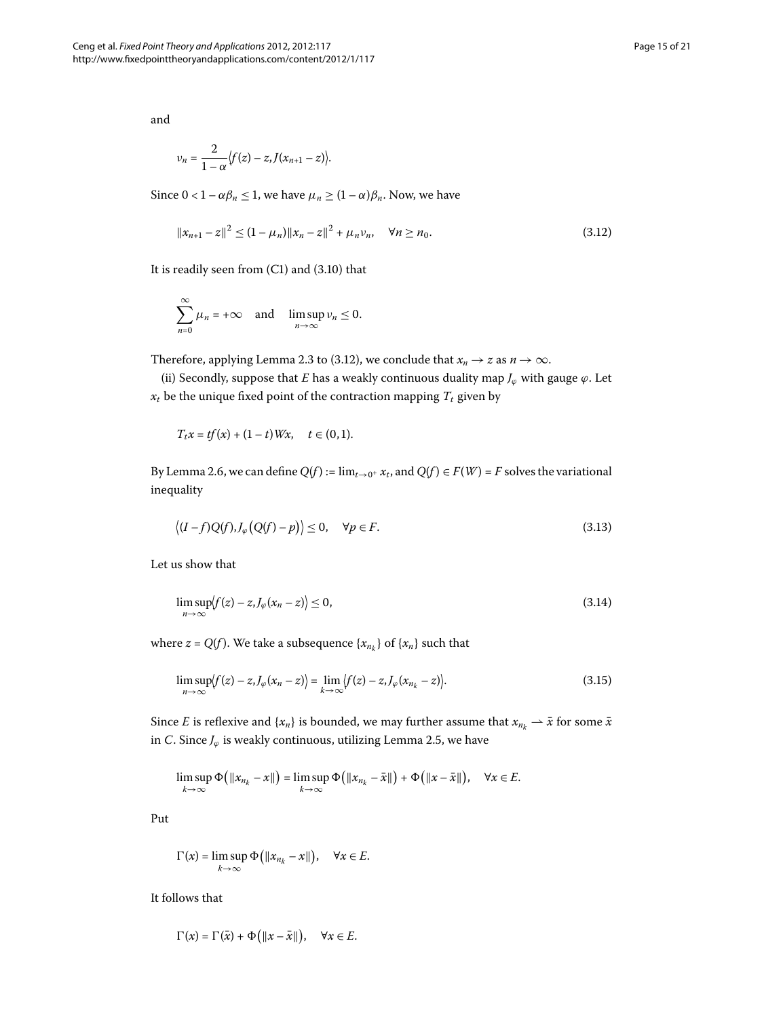and

<span id="page-14-0"></span>
$$
v_n=\frac{2}{1-\alpha}\big\{f(z)-z,J(x_{n+1}-z)\big\}.
$$

Since  $0 < 1 - \alpha \beta_n \leq 1$ , we have  $\mu_n \geq (1 - \alpha) \beta_n$ . Now, we have

$$
||x_{n+1} - z||^2 \le (1 - \mu_n) ||x_n - z||^2 + \mu_n v_n, \quad \forall n \ge n_0.
$$
 (3.12)

It is readily seen from  $(C1)$  and  $(3.10)$  $(3.10)$  $(3.10)$  that

$$
\sum_{n=0}^{\infty} \mu_n = +\infty \quad \text{and} \quad \limsup_{n \to \infty} \nu_n \le 0.
$$

Therefore, applying Lemma 2[.](#page-14-0)3 to (3.12), we conclude that  $x_n \to z$  as  $n \to \infty$ .

(ii) Secondly, suppose that *E* has a weakly continuous duality map  $J_{\varphi}$  with gauge  $\varphi$ . Let  $x_t$  be the unique fixed point of the contraction mapping  $T_t$  given by

<span id="page-14-1"></span>
$$
T_t x = tf(x) + (1-t) Wx, \quad t \in (0,1).
$$

By Lemma 2.6, we can define  $Q(f) := \lim_{t\to 0^+} x_t$ , and  $Q(f) \in F(W) = F$  solves the variational inequality

<span id="page-14-3"></span>
$$
\langle (I-f)Q(f), J_{\varphi}(Q(f)-p) \rangle \le 0, \quad \forall p \in F. \tag{3.13}
$$

Let us show that

<span id="page-14-2"></span>
$$
\limsup_{n \to \infty} \langle f(z) - z, J_{\varphi}(x_n - z) \rangle \le 0,
$$
\n(3.14)

where  $z = Q(f)$ . We take a subsequence  $\{x_{n_k}\}$  of  $\{x_n\}$  such that

$$
\limsup_{n \to \infty} \langle f(z) - z, J_{\varphi}(x_n - z) \rangle = \lim_{k \to \infty} \langle f(z) - z, J_{\varphi}(x_{n_k} - z) \rangle.
$$
\n(3.15)

Since *E* is reflexive and { $x_n$ } is bounded, we may further assume that  $x_{n_k} \to \bar{x}$  for some  $\bar{x}$ in *C*[.](#page-6-1) Since  $J_{\varphi}$  is weakly continuous, utilizing Lemma 2.5, we have

$$
\limsup_{k\to\infty}\Phi\big(\|x_{n_k}-x\|\big)=\limsup_{k\to\infty}\Phi\big(\|x_{n_k}-\bar{x}\|\big)+\Phi\big(\|x-\bar{x}\|\big),\quad\forall x\in E.
$$

Put

$$
\Gamma(x) = \limsup_{k \to \infty} \Phi(|x_{n_k} - x|), \quad \forall x \in E.
$$

It follows that

$$
\Gamma(x) = \Gamma(\bar{x}) + \Phi(|x - \bar{x}||), \quad \forall x \in E.
$$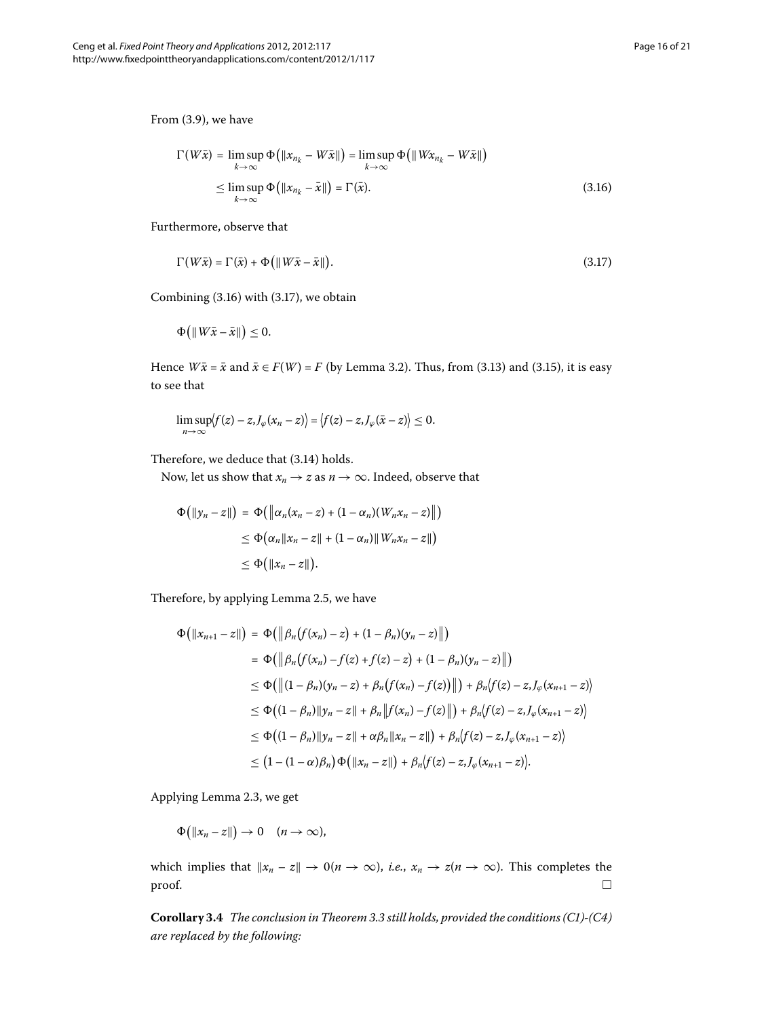<span id="page-15-0"></span>From  $(3.9)$ , we have

<span id="page-15-1"></span>
$$
\Gamma(W\bar{x}) = \limsup_{k \to \infty} \Phi\big(\|x_{n_k} - W\bar{x}\|\big) = \limsup_{k \to \infty} \Phi\big(\|Wx_{n_k} - W\bar{x}\|\big) \leq \limsup_{k \to \infty} \Phi\big(\|x_{n_k} - \bar{x}\|\big) = \Gamma(\bar{x}).
$$
\n(3.16)

Furthermore, observe that

$$
\Gamma(W\bar{x}) = \Gamma(\bar{x}) + \Phi\big(\|W\bar{x} - \bar{x}\|\big). \tag{3.17}
$$

Combining  $(3.16)$  with  $(3.17)$ , we obtain

$$
\Phi\big(\|W\bar{x}-\bar{x}\|\big)\leq 0.
$$

Hence  $W\bar{x} = \bar{x}$  and  $\bar{x} \in F(W) = F$  (by Lemma 3[.](#page-7-2)2). Thus, from (3.13) and (3.15), it is easy to see that

$$
\limsup_{n\to\infty}\bigl|f(z)-z,J_{\varphi}(x_n-z)\bigr|=\bigl|f(z)-z,J_{\varphi}(\bar{x}-z)\bigr|\leq 0.
$$

Therefore, we deduce that (3.14) holds.

Now, let us show that  $x_n \to z$  as  $n \to \infty$ . Indeed, observe that

$$
\Phi\big(\|\mathbf{y}_n - z\|\big) = \Phi\big(\big\|\alpha_n(x_n - z) + (1 - \alpha_n)(W_n x_n - z)\big\|\big)
$$
  
\n
$$
\leq \Phi\big(\alpha_n \|\mathbf{x}_n - z\| + (1 - \alpha_n)\|W_n x_n - z\|\big)
$$
  
\n
$$
\leq \Phi\big(\|\mathbf{x}_n - z\|\big).
$$

Therefore, by applying Lemma 2.5, we have

$$
\Phi\big(\|x_{n+1} - z\|\big) = \Phi\big(\left\|\beta_n\big(f(x_n) - z\big) + (1 - \beta_n)(y_n - z)\right\|\big) \n= \Phi\big(\left\|\beta_n\big(f(x_n) - f(z) + f(z) - z\big) + (1 - \beta_n)(y_n - z)\right\|\big) \n\le \Phi\big(\left\|(1 - \beta_n)(y_n - z) + \beta_n\big(f(x_n) - f(z)\big)\right\|\big) + \beta_n\big(f(z) - z, J_\varphi(x_{n+1} - z)\big) \n\le \Phi\big((1 - \beta_n)\|y_n - z\| + \beta_n\left\|f(x_n) - f(z)\right\|\big) + \beta_n\big(f(z) - z, J_\varphi(x_{n+1} - z)\big) \n\le \Phi\big((1 - \beta_n)\|y_n - z\| + \alpha\beta_n\|x_n - z\|\big) + \beta_n\big(f(z) - z, J_\varphi(x_{n+1} - z)\big) \n\le (1 - (1 - \alpha)\beta_n)\Phi\big(\|x_n - z\|\big) + \beta_n\big(f(z) - z, J_\varphi(x_{n+1} - z)\big).
$$

Applying Lemma 2[.](#page-5-1)3, we get

 $\Phi(|x_n - z|) \to 0 \quad (n \to \infty),$ 

which implies that  $\|x_n - z\| \to 0$  ( $n \to \infty$ ), *i.e.*,  $x_n \to z$  ( $n \to \infty$ ). This completes the proof.  $\hfill\Box$  $\Box$ 

**Corollary .** *The conclusion in Theorem [.](#page-8-1) still holds, provided the conditions (C)-(C) are replaced by the following:*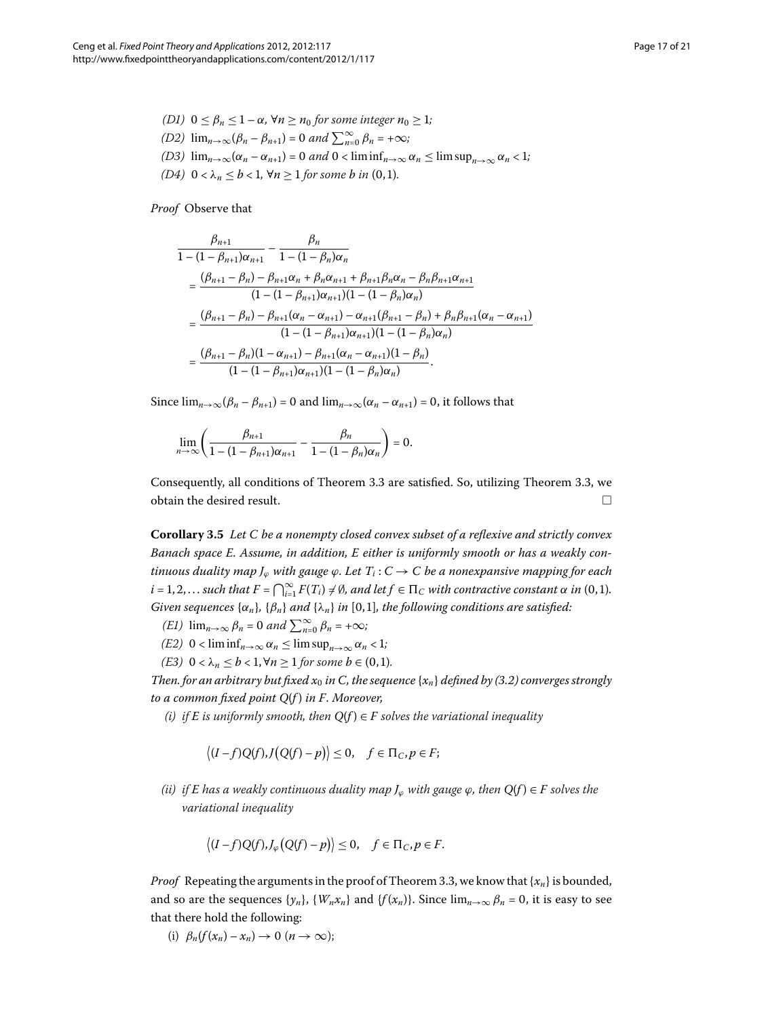\n- (D1) 
$$
0 \leq \beta_n \leq 1 - \alpha
$$
,  $\forall n \geq n_0$  for some integer  $n_0 \geq 1$ ;
\n- (D2)  $\lim_{n \to \infty} (\beta_n - \beta_{n+1}) = 0$  and  $\sum_{n=0}^{\infty} \beta_n = +\infty$ ;
\n- (D3)  $\lim_{n \to \infty} (\alpha_n - \alpha_{n+1}) = 0$  and  $0 < \liminf_{n \to \infty} \alpha_n \leq \limsup_{n \to \infty} \alpha_n < 1$ ;
\n- (D4)  $0 < \lambda_n \leq b < 1$ ,  $\forall n \geq 1$  for some  $b$  in (0, 1).
\n

## *Proof* Observe that

$$
\frac{\beta_{n+1}}{1 - (1 - \beta_{n+1})\alpha_{n+1}} - \frac{\beta_n}{1 - (1 - \beta_n)\alpha_n} \n= \frac{(\beta_{n+1} - \beta_n) - \beta_{n+1}\alpha_n + \beta_n\alpha_{n+1} + \beta_{n+1}\beta_n\alpha_n - \beta_n\beta_{n+1}\alpha_{n+1}}{(1 - (1 - \beta_{n+1})\alpha_{n+1})(1 - (1 - \beta_n)\alpha_n)} \n= \frac{(\beta_{n+1} - \beta_n) - \beta_{n+1}(\alpha_n - \alpha_{n+1}) - \alpha_{n+1}(\beta_{n+1} - \beta_n) + \beta_n\beta_{n+1}(\alpha_n - \alpha_{n+1})}{(1 - (1 - \beta_{n+1})\alpha_{n+1})(1 - (1 - \beta_n)\alpha_n)} \n= \frac{(\beta_{n+1} - \beta_n)(1 - \alpha_{n+1}) - \beta_{n+1}(\alpha_n - \alpha_{n+1})(1 - \beta_n)}{(1 - (1 - \beta_{n+1})\alpha_{n+1})(1 - (1 - \beta_n)\alpha_n)}.
$$

Since  $\lim_{n\to\infty}$   $(\beta_n - \beta_{n+1}) = 0$  and  $\lim_{n\to\infty}$   $(\alpha_n - \alpha_{n+1}) = 0$ , it follows that

$$
\lim_{n\to\infty}\left(\frac{\beta_{n+1}}{1-(1-\beta_{n+1})\alpha_{n+1}}-\frac{\beta_n}{1-(1-\beta_n)\alpha_n}\right)=0.
$$

Consequently, all conditions of Theorem 3[.](#page-8-1)3 are satisfied. So, utilizing Theorem 3.3, we obtain the desired result.  $\hfill \square$ 

**Corollary .** *Let C be a nonempty closed convex subset of a reflexive and strictly convex Banach space E. Assume, in addition, E either is uniformly smooth or has a weakly continuous duality map*  $J_\varphi$  *with gauge*  $\varphi$ *. Let*  $T_i$ :  $C \to C$  *be a nonexpansive mapping for each*  $i = 1, 2, \ldots$  such that  $F = \bigcap_{i=1}^{\infty} F(T_i) \neq \emptyset$ , and let  $f \in \Pi_C$  with contractive constant  $\alpha$  in  $(0, 1)$ . *Given sequences*  $\{\alpha_n\}$ *,*  $\{\beta_n\}$  *and*  $\{\lambda_n\}$  *in* [0,1]*, the following conditions are satisfied:* 

*(E1)*  $\lim_{n\to\infty} \beta_n = 0$  and  $\sum_{n=0}^{\infty} \beta_n = +\infty$ ;

- *(E2)*  $0 < \liminf_{n \to \infty} \alpha_n \leq \limsup_{n \to \infty} \alpha_n < 1$ ;
- *(E3)*  $0 < \lambda_n \leq b < 1, \forall n \geq 1$  *for some*  $b \in (0,1)$ *.*

*Then[.](#page-8-0) for an arbitrary but fixed*  $x_0$  *in C, the sequence*  $\{x_n\}$  *defined by (3.2) converges strongly to a common fixed point Q*(*f* ) *in F. Moreover,*

*(i) if*  $E$  *is uniformly smooth, then*  $Q(f) \in F$  *solves the variational inequality* 

$$
\langle (I-f)Q(f), J(Q(f)-p) \rangle \leq 0, \quad f \in \Pi_C, p \in F;
$$

*(ii) if E has a weakly continuous duality map*  $J_{\varphi}$  *with gauge*  $\varphi$ *, then*  $Q(f) \in F$  *solves the variational inequality*

$$
\langle (I-f)Q(f), J_{\varphi}(Q(f)-p) \rangle \leq 0, \quad f \in \Pi_C, p \in F.
$$

*Proof* Repeating the arguments in the proof of Theorem 3.3, we know that  $\{x_n\}$  is bounded, and so are the sequences  $\{y_n\}$ ,  $\{W_n x_n\}$  and  $\{f(x_n)\}$ . Since  $\lim_{n\to\infty} \beta_n = 0$ , it is easy to see that there hold the following:

(i)  $\beta_n(f(x_n) - x_n) \to 0 \ (n \to \infty);$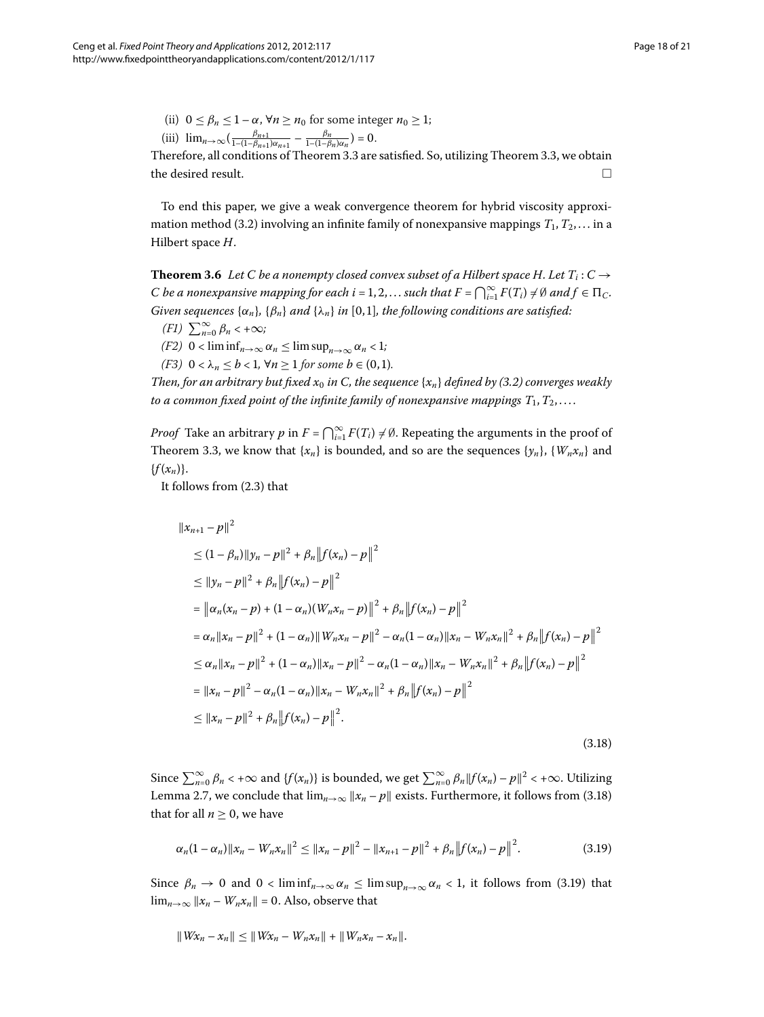(ii)  $0 \le \beta_n \le 1 - \alpha$ ,  $\forall n \ge n_0$  for some integer  $n_0 \ge 1$ ;  $\lim_{n \to \infty} \left( \frac{\beta_{n+1}}{1 - (1 - \beta_{n+1}) \alpha_{n+1}} - \frac{\beta_n}{1 - (1 - \beta_n) \alpha_n} \right) = 0.$ 

<span id="page-17-2"></span>Therefore, all conditions of Theorem 3.3 are satisfied. So, utilizing Theorem 3.3, we obtain the desired result. 
$$
\Box
$$

To end this paper, we give a weak convergence theorem for hybrid viscosity approxi-mation method (3[.](#page-8-0)2) involving an infinite family of nonexpansive mappings  $T_1, T_2, \ldots$  in a Hilbert space *H*.

**Theorem 3.6** Let C be a nonempty closed convex subset of a Hilbert space H. Let  $T_i: C \rightarrow$ *C* be a nonexpansive mapping for each  $i = 1, 2, ...$  such that  $F = \bigcap_{i=1}^{\infty} F(T_i) \neq \emptyset$  and  $f \in \Pi_C$ . *Given sequences*  $\{\alpha_n\}$ *,*  $\{\beta_n\}$  *and*  $\{\lambda_n\}$  *in* [0,1]*, the following conditions are satisfied:* 

- $(F1)$   $\sum_{n=0}^{\infty} \beta_n < +\infty;$
- *(F2)*  $0 < \liminf_{n \to \infty} \alpha_n \le \limsup_{n \to \infty} \alpha_n < 1$ ;
- *(F3)*  $0 < \lambda_n \leq b < 1$ ,  $\forall n \geq 1$  for some  $b \in (0,1)$ .

*Then, for an arbitrary but fixed*  $x_0$  *in C, the sequence*  $\{x_n\}$  *defined by (3.2) converges weakly to a common fixed point of the infinite family of nonexpansive mappings*  $T_1, T_2, \ldots$ 

*Proof* Take an arbitrary  $p$  in  $F = \bigcap_{i=1}^{\infty} F(T_i) \neq \emptyset$ . Repeating the arguments in the proof of Theorem 3[.](#page-8-1)3, we know that  ${x_n}$  is bounded, and so are the sequences  ${x_n}$ ,  ${W_n x_n}$  and  ${f(x_n)}$ .

It follows from  $(2.3)$  $(2.3)$  $(2.3)$  that

<span id="page-17-0"></span>
$$
||x_{n+1} - p||^2
$$
  
\n
$$
\leq (1 - \beta_n) ||y_n - p||^2 + \beta_n ||f(x_n) - p||^2
$$
  
\n
$$
\leq ||y_n - p||^2 + \beta_n ||f(x_n) - p||^2
$$
  
\n
$$
= ||\alpha_n(x_n - p) + (1 - \alpha_n)(W_n x_n - p) ||^2 + \beta_n ||f(x_n) - p||^2
$$
  
\n
$$
= \alpha_n ||x_n - p||^2 + (1 - \alpha_n) ||W_n x_n - p||^2 - \alpha_n (1 - \alpha_n) ||x_n - W_n x_n||^2 + \beta_n ||f(x_n) - p||^2
$$
  
\n
$$
\leq \alpha_n ||x_n - p||^2 + (1 - \alpha_n) ||x_n - p||^2 - \alpha_n (1 - \alpha_n) ||x_n - W_n x_n||^2 + \beta_n ||f(x_n) - p||^2
$$
  
\n
$$
= ||x_n - p||^2 - \alpha_n (1 - \alpha_n) ||x_n - W_n x_n||^2 + \beta_n ||f(x_n) - p||^2
$$
  
\n
$$
\leq ||x_n - p||^2 + \beta_n ||f(x_n) - p||^2.
$$
\n(3.18)

Since  $\sum_{n=0}^{\infty} \beta_n < +\infty$  and  $\{f(x_n)\}$  is bounded, we get  $\sum_{n=0}^{\infty} \beta_n ||f(x_n) - p||^2 < +\infty$ . Utilizing Lemma 2[.](#page-17-0)7, we conclude that  $\lim_{n\to\infty} ||x_n - p||$  exists. Furthermore, it follows from (3.18) that for all  $n \geq 0$ , we have

<span id="page-17-1"></span>
$$
\alpha_n(1-\alpha_n)\|x_n-W_nx_n\|^2 \le \|x_n-p\|^2 - \|x_{n+1}-p\|^2 + \beta_n \|f(x_n)-p\|^2. \tag{3.19}
$$

Since  $\beta_n \to 0$  and  $0 < \liminf_{n \to \infty} \alpha_n \le \limsup_{n \to \infty} \alpha_n < 1$ , it follows from (3.19) that  $\lim_{n\to\infty}$   $||x_n - W_n x_n|| = 0$ . Also, observe that

$$
||Wx_n - x_n|| \leq ||Wx_n - W_nx_n|| + ||W_nx_n - x_n||.
$$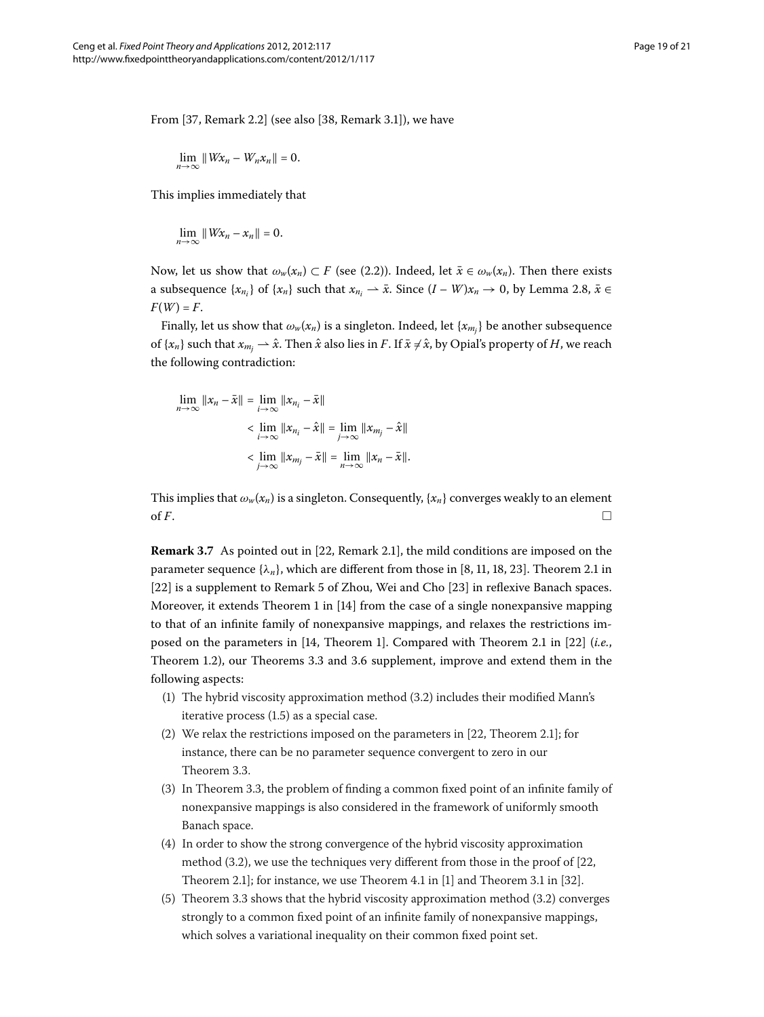From  $[37,$  Remark 2.2 $]$  (see also  $[38,$  Remark 3.1 $]$ ), we have

$$
\lim_{n\to\infty}||Wx_n-W_nx_n||=0.
$$

This implies immediately that

$$
\lim_{n\to\infty}||Wx_n-x_n||=0.
$$

Now, let us show that  $\omega_w(x_n) \subset F$  (see (2.2)). Indeed, let  $\bar{x} \in \omega_w(x_n)$ . Then there exists a subsequence  $\{x_{n_i}\}$  of  $\{x_n\}$  such that  $x_{n_i} \to \bar{x}$ . Since  $(I - W)x_n \to 0$ , by Lemma 2.8,  $\bar{x} \in$  $F(W) = F$ .

Finally, let us show that  $\omega_{\rm\scriptscriptstyle W}(\pmb{x}_{\rm\scriptscriptstyle H})$  is a singleton. Indeed, let  $\{x_{m_j}\}$  be another subsequence of  $\{x_n\}$  such that  $x_{m_j}\rightharpoonup \hat{x}.$  Then  $\hat{x}$  also lies in  $F.$  If  $\bar{x}\neq \hat{x},$  by Opial's property of  $H,$  we reach the following contradiction:

$$
\lim_{n \to \infty} ||x_n - \bar{x}|| = \lim_{i \to \infty} ||x_{n_i} - \bar{x}||
$$
\n
$$
< \lim_{i \to \infty} ||x_{n_i} - \hat{x}|| = \lim_{j \to \infty} ||x_{m_j} - \hat{x}||
$$
\n
$$
< \lim_{j \to \infty} ||x_{m_j} - \bar{x}|| = \lim_{n \to \infty} ||x_n - \bar{x}||.
$$

This implies that  $\omega_w(x_n)$  is a singleton. Consequently,  $\{x_n\}$  converges weakly to an element of  $F$ .  $\Box$ 

**Remark 3.7** As pointed out in [22[,](#page-19-20) Remark 2.1], the mild conditions are imposed on the parameter sequence  $\{\lambda_n\}$ [,](#page-19-22) which are different from those in [8, 11, 18, 23[\]](#page-20-0). Theorem 2.1 in  $[22]$  $[22]$  is a supplement to Remark 5 of Zhou, Wei and Cho  $[23]$  in reflexive Banach spaces. Moreover, it extends Theorem 1 in  $[14]$  $[14]$  from the case of a single nonexpansive mapping to that of an infinite family of nonexpansive mappings, and relaxes the restrictions im-posed on the parameters in [\[](#page-19-12)14, Theorem 1[\]](#page-19-20). Compared with Theorem 2.1 in [22] (*i.e.*, Theorem 1[.](#page-17-2)2), our Theorems 3.3 and 3.6 supplement, improve and extend them in the following aspects:

- (1) The hybrid viscosity approximation method  $(3.2)$  includes their modified Mann's iterative process  $(1.5)$  as a special case.
- (2) We relax the restrictions imposed on the parameters in  $[22,$  $[22,$  Theorem 2.1]; for instance, there can be no parameter sequence convergent to zero in our Theorem 3[.](#page-8-1)3.
- $(3)$  In Theorem 3.3, the problem of finding a common fixed point of an infinite family of nonexpansive mappings is also considered in the framework of uniformly smooth Banach space.
- (4) In order to show the strong convergence of the hybrid viscosity approximation method  $(3.2)$  $(3.2)$  $(3.2)$ [,](#page-19-20) we use the techniques very different from those in the proof of  $[22, 1]$ Theorem 2.1]; for instance, we use Theorem 4.1 in  $[1]$  $[1]$  and Theorem 3.1 in  $[32]$ .
- (5) Theorem 3[.](#page-8-1)3 shows that the hybrid viscosity approximation method  $(3.2)$  converges strongly to a common fixed point of an infinite family of nonexpansive mappings, which solves a variational inequality on their common fixed point set.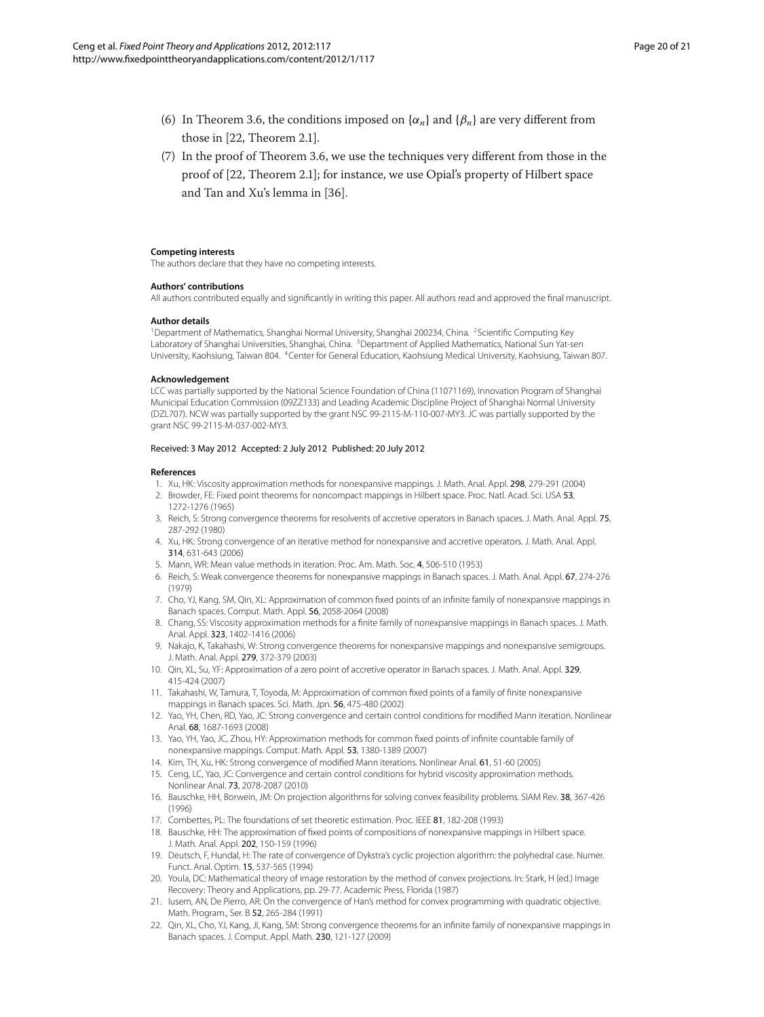- (6) In Theorem 3.6, the conditions imposed on  $\{\alpha_n\}$  and  $\{\beta_n\}$  are very different from those in  $[22,$  Theorem 2.1].
- <span id="page-19-1"></span> $(7)$  In the proof of Theorem 3.6, we use the techniques very different from those in the proof of [\[](#page-19-20)22, Theorem 2.1]; for instance, we use Opial's property of Hilbert space and Tan and Xu's lemma in [36].

#### <span id="page-19-3"></span><span id="page-19-2"></span><span id="page-19-0"></span>**Competing interests**

The authors declare that they have no competing interests.

#### **Authors' contributions**

All authors contributed equally and significantly in writing this paper. All authors read and approved the final manuscript.

#### **Author details**

<sup>1</sup>Department of Mathematics, Shanghai Normal University, Shanghai 200234, China. <sup>2</sup>Scientific Computing Key Laboratory of Shanghai Universities, Shanghai, China. <sup>3</sup>Department of Applied Mathematics, National Sun Yat-sen University, Kaohsiung, Taiwan 804. 4Center for General Education, Kaohsiung Medical University, Kaohsiung, Taiwan 807.

#### <span id="page-19-5"></span><span id="page-19-4"></span>**Acknowledgement**

<span id="page-19-7"></span>LCC was partially supported by the National Science Foundation of China (11071169), Innovation Program of Shanghai Municipal Education Commission (09ZZ133) and Leading Academic Discipline Project of Shanghai Normal University (DZL707). NCW was partially supported by the grant NSC 99-2115-M-110-007-MY3. JC was partially supported by the grant NSC 99-2115-M-037-002-MY3.

#### <span id="page-19-9"></span><span id="page-19-8"></span><span id="page-19-6"></span>Received: 3 May 2012 Accepted: 2 July 2012 Published: 20 July 2012

#### <span id="page-19-10"></span>**References**

- 1. Xu, HK: Viscosity approximation methods for nonexpansive mappings. J. Math. Anal. Appl. 298, 279-291 (2004)
- <span id="page-19-21"></span>2. Browder, FE: Fixed point theorems for noncompact mappings in Hilbert space. Proc. Natl. Acad. Sci. USA 53, 1272-1276 (1965)
- 3. Reich, S: Strong convergence theorems for resolvents of accretive operators in Banach spaces. J. Math. Anal. Appl. 75, 287-292 (1980)
- 4. Xu, HK: Strong convergence of an iterative method for nonexpansive and accretive operators. J. Math. Anal. Appl. 314, 631-643 (2006)
- 5. Mann, WR: Mean value methods in iteration. Proc. Am. Math. Soc. 4, 506-510 (1953)
- <span id="page-19-22"></span>6. Reich, S: Weak convergence theorems for nonexpansive mappings in Banach spaces. J. Math. Anal. Appl. 67, 274-276 (1979)
- <span id="page-19-13"></span>7. Cho, YJ, Kang, SM, Qin, XL: Approximation of common fixed points of an infinite family of nonexpansive mappings in Banach spaces. Comput. Math. Appl. 56, 2058-2064 (2008)
- <span id="page-19-11"></span>8. Chang, SS: Viscosity approximation methods for a finite family of nonexpansive mappings in Banach spaces. J. Math. Anal. Appl. 323, 1402-1416 (2006)
- 9. Nakajo, K, Takahashi, W: Strong convergence theorems for nonexpansive mappings and nonexpansive semigroups. J. Math. Anal. Appl. 279, 372-379 (2003)
- <span id="page-19-14"></span><span id="page-19-12"></span>10. Qin, XL, Su, YF: Approximation of a zero point of accretive operator in Banach spaces. J. Math. Anal. Appl. 329, 415-424 (2007)
- <span id="page-19-16"></span><span id="page-19-15"></span>11. Takahashi, W, Tamura, T, Toyoda, M: Approximation of common fixed points of a family of finite nonexpansive mappings in Banach spaces. Sci. Math. Jpn. 56, 475-480 (2002)
- <span id="page-19-17"></span>12. Yao, YH, Chen, RD, Yao, JC: Strong convergence and certain control conditions for modified Mann iteration. Nonlinear Anal. 68, 1687-1693 (2008)
- 13. Yao, YH, Yao, JC, Zhou, HY: Approximation methods for common fixed points of infinite countable family of nonexpansive mappings. Comput. Math. Appl. 53, 1380-1389 (2007)
- 14. Kim, TH, Xu, HK: Strong convergence of modified Mann iterations. Nonlinear Anal. 61, 51-60 (2005)
- <span id="page-19-19"></span><span id="page-19-18"></span>15. Ceng, LC, Yao, JC: Convergence and certain control conditions for hybrid viscosity approximation methods. Nonlinear Anal. 73, 2078-2087 (2010)
- 16. Bauschke, HH, Borwein, JM: On projection algorithms for solving convex feasibility problems. SIAM Rev. 38, 367-426 (1996)
- <span id="page-19-20"></span>17. Combettes, PL: The foundations of set theoretic estimation. Proc. IEEE 81, 182-208 (1993)
- 18. Bauschke, HH: The approximation of fixed points of compositions of nonexpansive mappings in Hilbert space. J. Math. Anal. Appl. 202, 150-159 (1996)
- 19. Deutsch, F, Hundal, H: The rate of convergence of Dykstra's cyclic projection algorithm: the polyhedral case. Numer. Funct. Anal. Optim. 15, 537-565 (1994)
- 20. Youla, DC: Mathematical theory of image restoration by the method of convex projections. In: Stark, H (ed.) Image Recovery: Theory and Applications, pp. 29-77. Academic Press, Florida (1987)
- 21. Iusem, AN, De Pierro, AR: On the convergence of Han's method for convex programming with quadratic objective. Math. Program., Ser. B 52, 265-284 (1991)
- 22. Qin, XL, Cho, YJ, Kang, JI, Kang, SM: Strong convergence theorems for an infinite family of nonexpansive mappings in Banach spaces. J. Comput. Appl. Math. 230, 121-127 (2009)